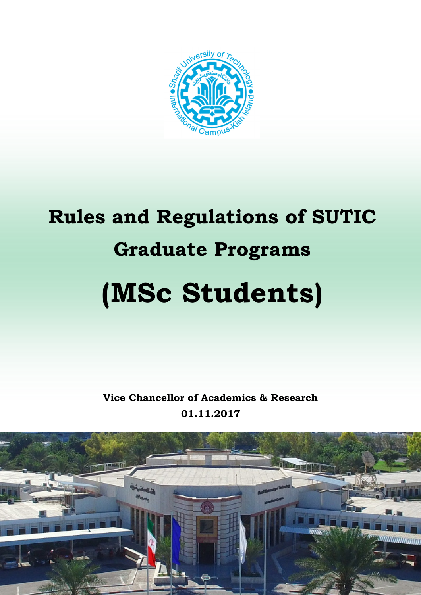

# Rules and Regulations of SUTIC Graduate Programs (MSc Students)

Vice Chancellor of Academics & Research 01.11.2017

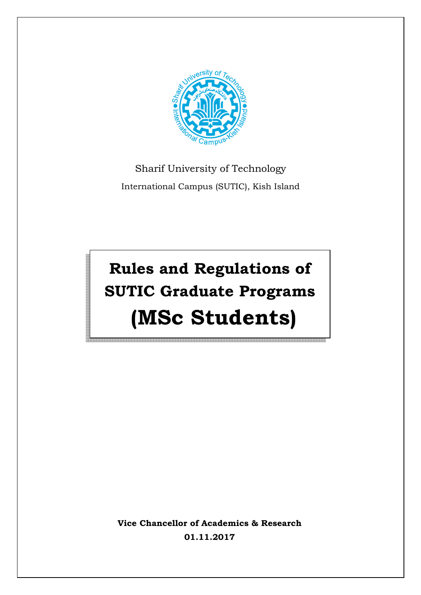

### Sharif University of Technology International Campus (SUTIC), Kish Island

## Rules and Regulations of SUTIC Graduate Programs (MSc Students)

Vice Chancellor of Academics & Research 01.11.2017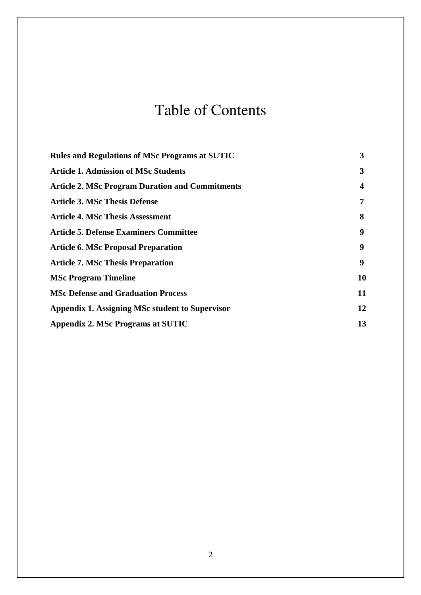### Table of Contents

| <b>Rules and Regulations of MSc Programs at SUTIC</b>  | 3  |
|--------------------------------------------------------|----|
| <b>Article 1. Admission of MSc Students</b>            | 3  |
| <b>Article 2. MSc Program Duration and Commitments</b> | 4  |
| <b>Article 3. MSc Thesis Defense</b>                   | 7  |
| <b>Article 4. MSc Thesis Assessment</b>                | 8  |
| <b>Article 5. Defense Examiners Committee</b>          | 9  |
| <b>Article 6. MSc Proposal Preparation</b>             | 9  |
| <b>Article 7. MSc Thesis Preparation</b>               | 9  |
| <b>MSc Program Timeline</b>                            | 10 |
| <b>MSc Defense and Graduation Process</b>              | 11 |
| Appendix 1. Assigning MSc student to Supervisor        | 12 |
| Appendix 2. MSc Programs at SUTIC                      | 13 |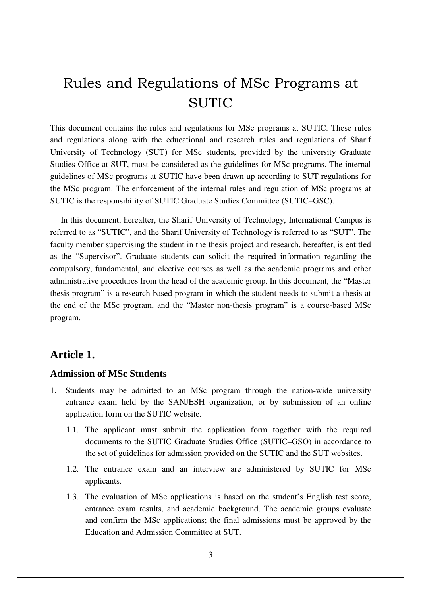### Rules and Regulations of MSc Programs at SUTIC

This document contains the rules and regulations for MSc programs at SUTIC. These rules and regulations along with the educational and research rules and regulations of Sharif University of Technology (SUT) for MSc students, provided by the university Graduate Studies Office at SUT, must be considered as the guidelines for MSc programs. The internal guidelines of MSc programs at SUTIC have been drawn up according to SUT regulations for the MSc program. The enforcement of the internal rules and regulation of MSc programs at SUTIC is the responsibility of SUTIC Graduate Studies Committee (SUTIC–GSC).

 In this document, hereafter, the Sharif University of Technology, International Campus is referred to as "SUTIC", and the Sharif University of Technology is referred to as "SUT". The faculty member supervising the student in the thesis project and research, hereafter, is entitled as the "Supervisor". Graduate students can solicit the required information regarding the compulsory, fundamental, and elective courses as well as the academic programs and other administrative procedures from the head of the academic group. In this document, the "Master thesis program" is a research-based program in which the student needs to submit a thesis at the end of the MSc program, and the "Master non-thesis program" is a course-based MSc program.

#### **Article 1.**

#### **Admission of MSc Students**

- 1. Students may be admitted to an MSc program through the nation-wide university entrance exam held by the SANJESH organization, or by submission of an online application form on the SUTIC website.
	- 1.1. The applicant must submit the application form together with the required documents to the SUTIC Graduate Studies Office (SUTIC–GSO) in accordance to the set of guidelines for admission provided on the SUTIC and the SUT websites.
	- 1.2. The entrance exam and an interview are administered by SUTIC for MSc applicants.
	- 1.3. The evaluation of MSc applications is based on the student's English test score, entrance exam results, and academic background. The academic groups evaluate and confirm the MSc applications; the final admissions must be approved by the Education and Admission Committee at SUT.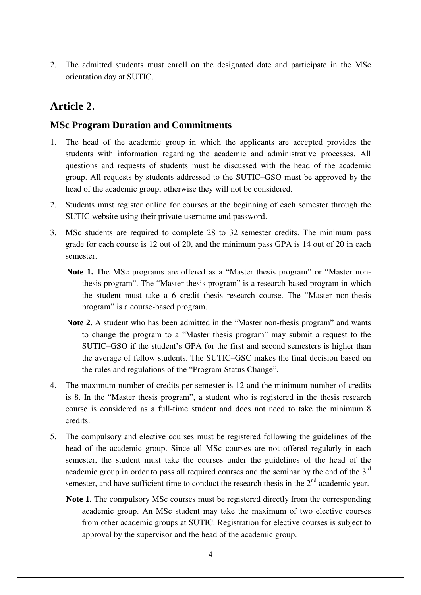2. The admitted students must enroll on the designated date and participate in the MSc orientation day at SUTIC.

#### **Article 2.**

#### **MSc Program Duration and Commitments**

- 1. The head of the academic group in which the applicants are accepted provides the students with information regarding the academic and administrative processes. All questions and requests of students must be discussed with the head of the academic group. All requests by students addressed to the SUTIC–GSO must be approved by the head of the academic group, otherwise they will not be considered.
- 2. Students must register online for courses at the beginning of each semester through the SUTIC website using their private username and password.
- 3. MSc students are required to complete 28 to 32 semester credits. The minimum pass grade for each course is 12 out of 20, and the minimum pass GPA is 14 out of 20 in each semester.
	- **Note 1.** The MSc programs are offered as a "Master thesis program" or "Master nonthesis program". The "Master thesis program" is a research-based program in which the student must take a 6–credit thesis research course. The "Master non-thesis program" is a course-based program.
	- **Note 2.** A student who has been admitted in the "Master non-thesis program" and wants to change the program to a "Master thesis program" may submit a request to the SUTIC–GSO if the student's GPA for the first and second semesters is higher than the average of fellow students. The SUTIC–GSC makes the final decision based on the rules and regulations of the "Program Status Change".
- 4. The maximum number of credits per semester is 12 and the minimum number of credits is 8. In the "Master thesis program", a student who is registered in the thesis research course is considered as a full-time student and does not need to take the minimum 8 credits.
- 5. The compulsory and elective courses must be registered following the guidelines of the head of the academic group. Since all MSc courses are not offered regularly in each semester, the student must take the courses under the guidelines of the head of the academic group in order to pass all required courses and the seminar by the end of the 3<sup>rd</sup> semester, and have sufficient time to conduct the research thesis in the  $2<sup>nd</sup>$  academic year.
	- **Note 1.** The compulsory MSc courses must be registered directly from the corresponding academic group. An MSc student may take the maximum of two elective courses from other academic groups at SUTIC. Registration for elective courses is subject to approval by the supervisor and the head of the academic group.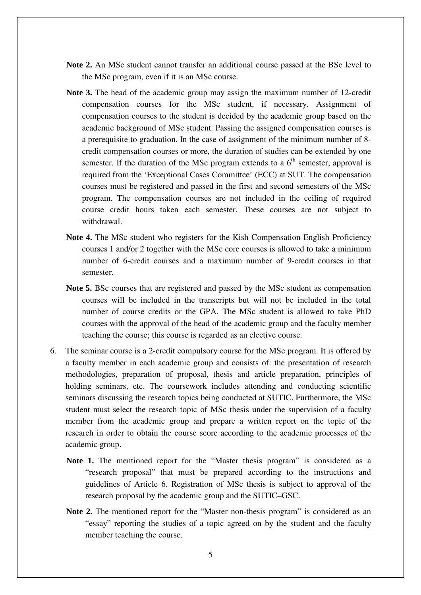- **Note 2.** An MSc student cannot transfer an additional course passed at the BSc level to the MSc program, even if it is an MSc course.
- **Note 3.** The head of the academic group may assign the maximum number of 12-credit compensation courses for the MSc student, if necessary. Assignment of compensation courses to the student is decided by the academic group based on the academic background of MSc student. Passing the assigned compensation courses is a prerequisite to graduation. In the case of assignment of the minimum number of 8 credit compensation courses or more, the duration of studies can be extended by one semester. If the duration of the MSc program extends to a  $6<sup>th</sup>$  semester, approval is required from the 'Exceptional Cases Committee' (ECC) at SUT. The compensation courses must be registered and passed in the first and second semesters of the MSc program. The compensation courses are not included in the ceiling of required course credit hours taken each semester. These courses are not subject to withdrawal.
- **Note 4.** The MSc student who registers for the Kish Compensation English Proficiency courses 1 and/or 2 together with the MSc core courses is allowed to take a minimum number of 6-credit courses and a maximum number of 9-credit courses in that semester.
- **Note 5.** BSc courses that are registered and passed by the MSc student as compensation courses will be included in the transcripts but will not be included in the total number of course credits or the GPA. The MSc student is allowed to take PhD courses with the approval of the head of the academic group and the faculty member teaching the course; this course is regarded as an elective course.
- 6. The seminar course is a 2-credit compulsory course for the MSc program. It is offered by a faculty member in each academic group and consists of: the presentation of research methodologies, preparation of proposal, thesis and article preparation, principles of holding seminars, etc. The coursework includes attending and conducting scientific seminars discussing the research topics being conducted at SUTIC. Furthermore, the MSc student must select the research topic of MSc thesis under the supervision of a faculty member from the academic group and prepare a written report on the topic of the research in order to obtain the course score according to the academic processes of the academic group.
	- Note 1. The mentioned report for the "Master thesis program" is considered as a "research proposal" that must be prepared according to the instructions and guidelines of Article 6. Registration of MSc thesis is subject to approval of the research proposal by the academic group and the SUTIC–GSC.
	- **Note 2.** The mentioned report for the "Master non-thesis program" is considered as an "essay" reporting the studies of a topic agreed on by the student and the faculty member teaching the course.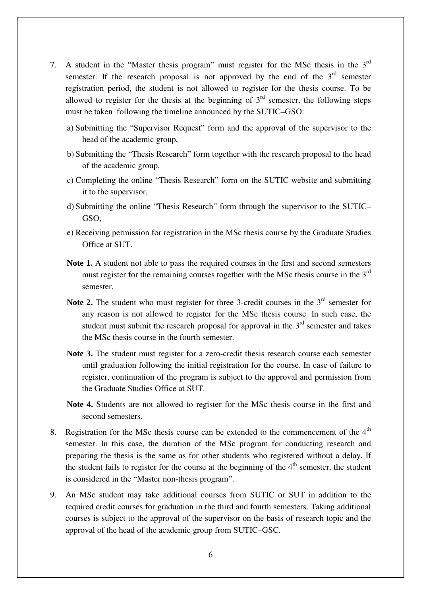- 7. A student in the "Master thesis program" must register for the MSc thesis in the  $3<sup>rd</sup>$ semester. If the research proposal is not approved by the end of the  $3<sup>rd</sup>$  semester registration period, the student is not allowed to register for the thesis course. To be allowed to register for the thesis at the beginning of  $3<sup>rd</sup>$  semester, the following steps must be taken following the timeline announced by the SUTIC–GSO:
	- a) Submitting the "Supervisor Request" form and the approval of the supervisor to the head of the academic group,
	- b) Submitting the "Thesis Research" form together with the research proposal to the head of the academic group,
	- c) Completing the online "Thesis Research" form on the SUTIC website and submitting it to the supervisor,
	- d) Submitting the online "Thesis Research" form through the supervisor to the SUTIC– GSO,
	- e) Receiving permission for registration in the MSc thesis course by the Graduate Studies Office at SUT.
	- **Note 1.** A student not able to pass the required courses in the first and second semesters must register for the remaining courses together with the MSc thesis course in the  $3<sup>rd</sup>$ semester.
	- **Note 2.** The student who must register for three 3-credit courses in the  $3<sup>rd</sup>$  semester for any reason is not allowed to register for the MSc thesis course. In such case, the student must submit the research proposal for approval in the  $3<sup>rd</sup>$  semester and takes the MSc thesis course in the fourth semester.
	- **Note 3.** The student must register for a zero-credit thesis research course each semester until graduation following the initial registration for the course. In case of failure to register, continuation of the program is subject to the approval and permission from the Graduate Studies Office at SUT.
	- **Note 4.** Students are not allowed to register for the MSc thesis course in the first and second semesters.
- 8. Registration for the MSc thesis course can be extended to the commencement of the  $4<sup>th</sup>$ semester. In this case, the duration of the MSc program for conducting research and preparing the thesis is the same as for other students who registered without a delay. If the student fails to register for the course at the beginning of the  $4<sup>th</sup>$  semester, the student is considered in the "Master non-thesis program".
- 9. An MSc student may take additional courses from SUTIC or SUT in addition to the required credit courses for graduation in the third and fourth semesters. Taking additional courses is subject to the approval of the supervisor on the basis of research topic and the approval of the head of the academic group from SUTIC–GSC.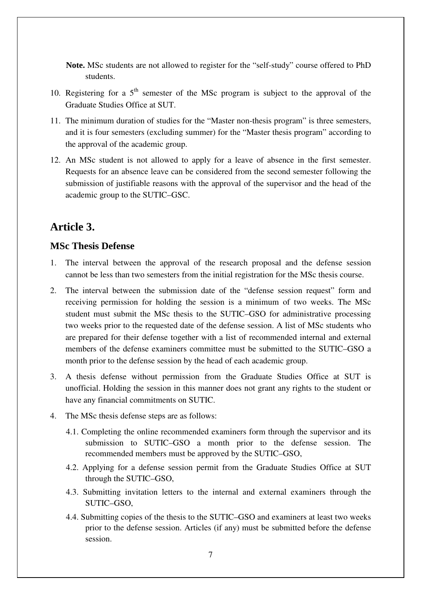**Note.** MSc students are not allowed to register for the "self-study" course offered to PhD students.

- 10. Registering for a  $5<sup>th</sup>$  semester of the MSc program is subject to the approval of the Graduate Studies Office at SUT.
- 11. The minimum duration of studies for the "Master non-thesis program" is three semesters, and it is four semesters (excluding summer) for the "Master thesis program" according to the approval of the academic group.
- 12. An MSc student is not allowed to apply for a leave of absence in the first semester. Requests for an absence leave can be considered from the second semester following the submission of justifiable reasons with the approval of the supervisor and the head of the academic group to the SUTIC–GSC.

### **Article 3.**

#### **MSc Thesis Defense**

- 1. The interval between the approval of the research proposal and the defense session cannot be less than two semesters from the initial registration for the MSc thesis course.
- 2. The interval between the submission date of the "defense session request" form and receiving permission for holding the session is a minimum of two weeks. The MSc student must submit the MSc thesis to the SUTIC–GSO for administrative processing two weeks prior to the requested date of the defense session. A list of MSc students who are prepared for their defense together with a list of recommended internal and external members of the defense examiners committee must be submitted to the SUTIC–GSO a month prior to the defense session by the head of each academic group.
- 3. A thesis defense without permission from the Graduate Studies Office at SUT is unofficial. Holding the session in this manner does not grant any rights to the student or have any financial commitments on SUTIC.
- 4. The MSc thesis defense steps are as follows:
	- 4.1. Completing the online recommended examiners form through the supervisor and its submission to SUTIC–GSO a month prior to the defense session. The recommended members must be approved by the SUTIC–GSO,
	- 4.2. Applying for a defense session permit from the Graduate Studies Office at SUT through the SUTIC–GSO,
	- 4.3. Submitting invitation letters to the internal and external examiners through the SUTIC–GSO,
	- 4.4. Submitting copies of the thesis to the SUTIC–GSO and examiners at least two weeks prior to the defense session. Articles (if any) must be submitted before the defense session.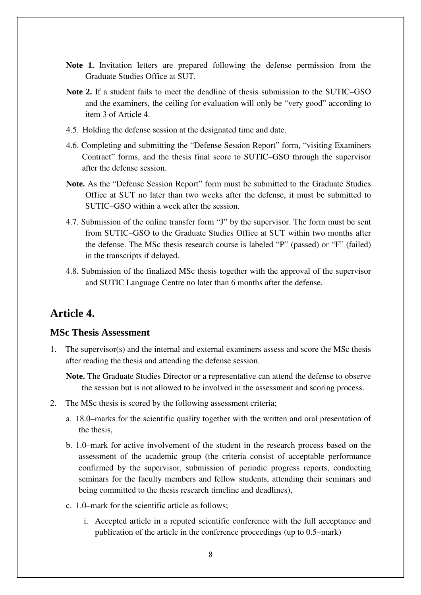- **Note 1.** Invitation letters are prepared following the defense permission from the Graduate Studies Office at SUT.
- **Note 2.** If a student fails to meet the deadline of thesis submission to the SUTIC–GSO and the examiners, the ceiling for evaluation will only be "very good" according to item 3 of Article 4.
- 4.5. Holding the defense session at the designated time and date.
- 4.6. Completing and submitting the "Defense Session Report" form, "visiting Examiners Contract" forms, and the thesis final score to SUTIC–GSO through the supervisor after the defense session.
- **Note.** As the "Defense Session Report" form must be submitted to the Graduate Studies Office at SUT no later than two weeks after the defense, it must be submitted to SUTIC–GSO within a week after the session.
- 4.7. Submission of the online transfer form "J" by the supervisor. The form must be sent from SUTIC–GSO to the Graduate Studies Office at SUT within two months after the defense. The MSc thesis research course is labeled "P" (passed) or "F" (failed) in the transcripts if delayed.
- 4.8. Submission of the finalized MSc thesis together with the approval of the supervisor and SUTIC Language Centre no later than 6 months after the defense.

#### **Article 4.**

#### **MSc Thesis Assessment**

- 1. The supervisor(s) and the internal and external examiners assess and score the MSc thesis after reading the thesis and attending the defense session.
	- **Note.** The Graduate Studies Director or a representative can attend the defense to observe the session but is not allowed to be involved in the assessment and scoring process.
- 2. The MSc thesis is scored by the following assessment criteria;
	- a. 18.0–marks for the scientific quality together with the written and oral presentation of the thesis,
	- b. 1.0–mark for active involvement of the student in the research process based on the assessment of the academic group (the criteria consist of acceptable performance confirmed by the supervisor, submission of periodic progress reports, conducting seminars for the faculty members and fellow students, attending their seminars and being committed to the thesis research timeline and deadlines),
	- c. 1.0–mark for the scientific article as follows;
		- i. Accepted article in a reputed scientific conference with the full acceptance and publication of the article in the conference proceedings (up to 0.5–mark)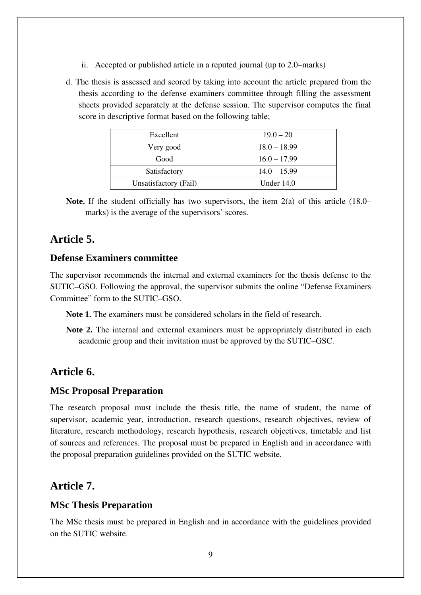- ii. Accepted or published article in a reputed journal (up to 2.0–marks)
- d. The thesis is assessed and scored by taking into account the article prepared from the thesis according to the defense examiners committee through filling the assessment sheets provided separately at the defense session. The supervisor computes the final score in descriptive format based on the following table;

| Excellent             | $19.0 - 20$    |
|-----------------------|----------------|
| Very good             | $18.0 - 18.99$ |
| Good                  | $16.0 - 17.99$ |
| Satisfactory          | $14.0 - 15.99$ |
| Unsatisfactory (Fail) | Under $14.0$   |

**Note.** If the student officially has two supervisors, the item 2(a) of this article (18.0– marks) is the average of the supervisors' scores.

#### **Article 5.**

#### **Defense Examiners committee**

The supervisor recommends the internal and external examiners for the thesis defense to the SUTIC–GSO. Following the approval, the supervisor submits the online "Defense Examiners Committee" form to the SUTIC–GSO.

**Note 1.** The examiners must be considered scholars in the field of research.

**Note 2.** The internal and external examiners must be appropriately distributed in each academic group and their invitation must be approved by the SUTIC–GSC.

#### **Article 6.**

#### **MSc Proposal Preparation**

The research proposal must include the thesis title, the name of student, the name of supervisor, academic year, introduction, research questions, research objectives, review of literature, research methodology, research hypothesis, research objectives, timetable and list of sources and references. The proposal must be prepared in English and in accordance with the proposal preparation guidelines provided on the SUTIC website.

#### **Article 7.**

#### **MSc Thesis Preparation**

The MSc thesis must be prepared in English and in accordance with the guidelines provided on the SUTIC website.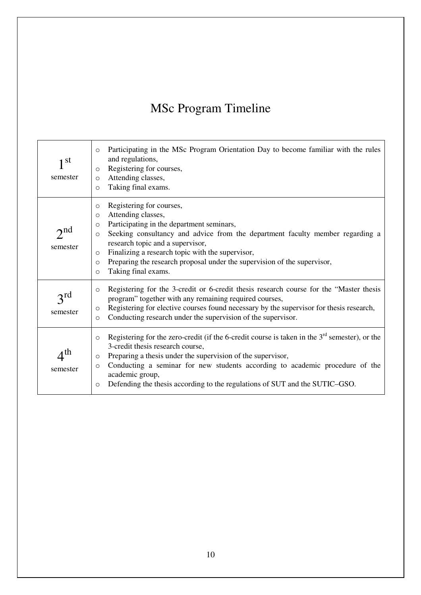### MSc Program Timeline

| 1 st<br>semester            | Participating in the MSc Program Orientation Day to become familiar with the rules<br>$\circ$<br>and regulations,<br>Registering for courses,<br>$\circ$<br>Attending classes,<br>$\circ$<br>Taking final exams.<br>$\circ$                                                                                                                                                                                                                          |
|-----------------------------|------------------------------------------------------------------------------------------------------------------------------------------------------------------------------------------------------------------------------------------------------------------------------------------------------------------------------------------------------------------------------------------------------------------------------------------------------|
| $2^{nd}$<br>semester        | Registering for courses,<br>$\circ$<br>Attending classes,<br>$\circ$<br>Participating in the department seminars,<br>$\circ$<br>Seeking consultancy and advice from the department faculty member regarding a<br>$\circ$<br>research topic and a supervisor,<br>Finalizing a research topic with the supervisor,<br>$\circ$<br>Preparing the research proposal under the supervision of the supervisor,<br>$\circ$<br>Taking final exams.<br>$\circ$ |
| $3^{ra}$<br>semester        | Registering for the 3-credit or 6-credit thesis research course for the "Master thesis"<br>$\circ$<br>program" together with any remaining required courses,<br>Registering for elective courses found necessary by the supervisor for thesis research,<br>$\circ$<br>Conducting research under the supervision of the supervisor.<br>$\circ$                                                                                                        |
| $A^{\text{th}}$<br>semester | Registering for the zero-credit (if the 6-credit course is taken in the $3rd$ semester), or the<br>$\circ$<br>3-credit thesis research course,<br>Preparing a thesis under the supervision of the supervisor,<br>$\circ$<br>Conducting a seminar for new students according to academic procedure of the<br>$\circ$<br>academic group,<br>Defending the thesis according to the regulations of SUT and the SUTIC-GSO.<br>$\circ$                     |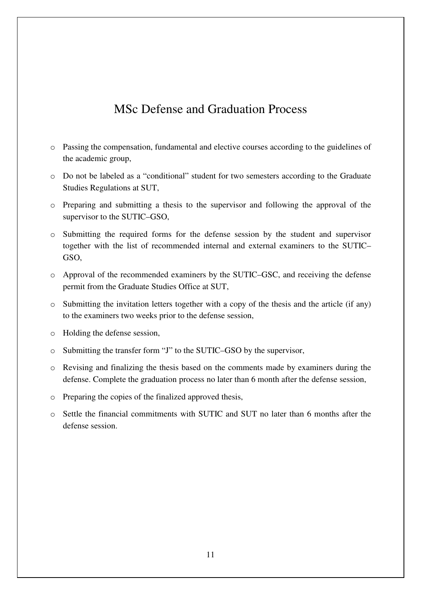### MSc Defense and Graduation Process

- o Passing the compensation, fundamental and elective courses according to the guidelines of the academic group,
- o Do not be labeled as a "conditional" student for two semesters according to the Graduate Studies Regulations at SUT,
- o Preparing and submitting a thesis to the supervisor and following the approval of the supervisor to the SUTIC–GSO,
- o Submitting the required forms for the defense session by the student and supervisor together with the list of recommended internal and external examiners to the SUTIC– GSO,
- o Approval of the recommended examiners by the SUTIC–GSC, and receiving the defense permit from the Graduate Studies Office at SUT,
- o Submitting the invitation letters together with a copy of the thesis and the article (if any) to the examiners two weeks prior to the defense session,
- o Holding the defense session,
- o Submitting the transfer form "J" to the SUTIC–GSO by the supervisor,
- o Revising and finalizing the thesis based on the comments made by examiners during the defense. Complete the graduation process no later than 6 month after the defense session,
- o Preparing the copies of the finalized approved thesis,
- o Settle the financial commitments with SUTIC and SUT no later than 6 months after the defense session.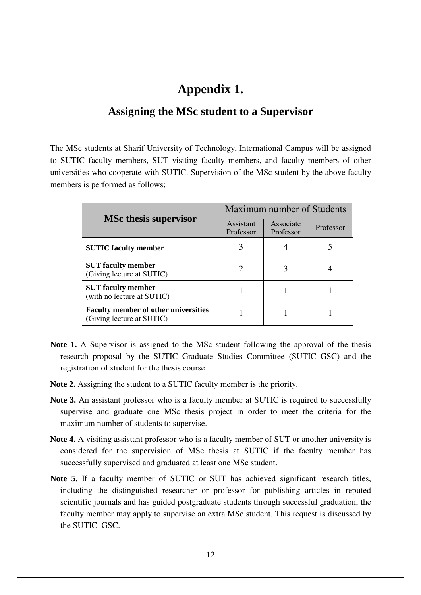#### **Appendix 1.**

#### **Assigning the MSc student to a Supervisor**

The MSc students at Sharif University of Technology, International Campus will be assigned to SUTIC faculty members, SUT visiting faculty members, and faculty members of other universities who cooperate with SUTIC. Supervision of the MSc student by the above faculty members is performed as follows;

|                                                                          | Maximum number of Students  |                        |           |  |  |  |
|--------------------------------------------------------------------------|-----------------------------|------------------------|-----------|--|--|--|
| <b>MSc thesis supervisor</b>                                             | Assistant<br>Professor      | Associate<br>Professor | Professor |  |  |  |
| <b>SUTIC</b> faculty member                                              | 3                           |                        |           |  |  |  |
| <b>SUT</b> faculty member<br>(Giving lecture at SUTIC)                   | $\mathcal{D}_{\mathcal{L}}$ | 3                      |           |  |  |  |
| <b>SUT</b> faculty member<br>(with no lecture at SUTIC)                  |                             |                        |           |  |  |  |
| <b>Faculty member of other universities</b><br>(Giving lecture at SUTIC) |                             |                        |           |  |  |  |

- **Note 1.** A Supervisor is assigned to the MSc student following the approval of the thesis research proposal by the SUTIC Graduate Studies Committee (SUTIC–GSC) and the registration of student for the thesis course.
- **Note 2.** Assigning the student to a SUTIC faculty member is the priority.
- **Note 3.** An assistant professor who is a faculty member at SUTIC is required to successfully supervise and graduate one MSc thesis project in order to meet the criteria for the maximum number of students to supervise.
- **Note 4.** A visiting assistant professor who is a faculty member of SUT or another university is considered for the supervision of MSc thesis at SUTIC if the faculty member has successfully supervised and graduated at least one MSc student.
- **Note 5.** If a faculty member of SUTIC or SUT has achieved significant research titles, including the distinguished researcher or professor for publishing articles in reputed scientific journals and has guided postgraduate students through successful graduation, the faculty member may apply to supervise an extra MSc student. This request is discussed by the SUTIC–GSC.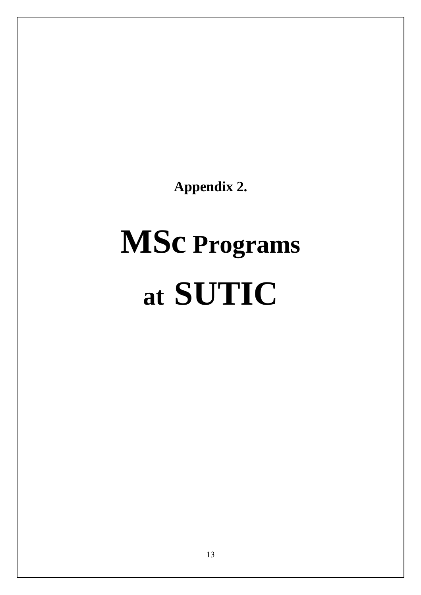**Appendix 2.** 

# **MSc Programs at SUTIC**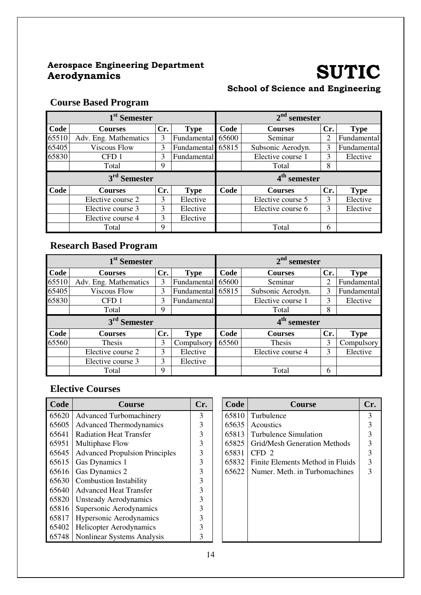### Aerospace Engineering Department

## SUTIC

#### School of Science and Engineering

#### **Course Based Program**

|            | 1 <sup>st</sup> Semester |     |                   |                          | $2nd$ semester    |     |             |
|------------|--------------------------|-----|-------------------|--------------------------|-------------------|-----|-------------|
| Code       | <b>Courses</b>           | Cr. | <b>Type</b>       | Code                     | <b>Courses</b>    | Cr. | <b>Type</b> |
| 65510      | Adv. Eng. Mathematics    | 3   | Fundamental       | 65600                    | Seminar           | 2   | Fundamental |
| 65405      | <b>Viscous Flow</b>      | 3   | Fundamental 65815 |                          | Subsonic Aerodyn. | 3   | Fundamental |
| 65830      | CFD <sub>1</sub>         | 3   | Fundamental       |                          | Elective course 1 | 3   | Elective    |
| Total<br>9 |                          |     |                   |                          | Total             | 8   |             |
|            | 3 <sup>rd</sup> Semester |     |                   | 4 <sup>th</sup> semester |                   |     |             |
| Code       | <b>Courses</b>           | Cr. | <b>Type</b>       | Code                     | <b>Courses</b>    | Cr. | <b>Type</b> |
|            | Elective course 2        | 3   | Elective          |                          | Elective course 5 | 3   | Elective    |
|            | Elective course 3        | 3   | Elective          |                          | Elective course 6 | 3   | Elective    |
|            | Elective course 4        | 3   | Elective          |                          |                   |     |             |
|            |                          |     |                   |                          |                   |     |             |

#### **Research Based Program**

|                          | 1 <sup>st</sup> Semester |     |             |       | $2nd$ semester           |     |             |  |  |
|--------------------------|--------------------------|-----|-------------|-------|--------------------------|-----|-------------|--|--|
| Code                     | <b>Courses</b>           | Cr. | <b>Type</b> | Code  | <b>Courses</b>           | Cr. | <b>Type</b> |  |  |
| 65510                    | Adv. Eng. Mathematics    | 3   | Fundamental | 65600 | Seminar                  | 2   | Fundamental |  |  |
| 65405                    | <b>Viscous Flow</b>      | 3   | Fundamental | 65815 | Subsonic Aerodyn.        | 3   | Fundamental |  |  |
| 65830                    | CFD <sub>1</sub>         | 3   | Fundamental |       | Elective course 1        | 3   | Elective    |  |  |
|                          | Total                    | 9   |             |       | Total                    | 8   |             |  |  |
| 3 <sup>rd</sup> Semester |                          |     |             |       | 4 <sup>th</sup> semester |     |             |  |  |
|                          |                          |     |             |       |                          |     |             |  |  |
| Code                     | <b>Courses</b>           | Cr. | <b>Type</b> | Code  | <b>Courses</b>           | Cr. | <b>Type</b> |  |  |
| 65560                    | Thesis                   | 3   | Compulsory  | 65560 | <b>Thesis</b>            | 3   | Compulsory  |  |  |
|                          | Elective course 2        | 3   | Elective    |       | Elective course 4        | 3   | Elective    |  |  |
|                          | Elective course 3        | 3   | Elective    |       |                          |     |             |  |  |

| Code  | <b>Course</b>                         | Cr. | Code  | <b>Course</b>                    | Cr. |
|-------|---------------------------------------|-----|-------|----------------------------------|-----|
| 65620 | <b>Advanced Turbomachinery</b>        | 3   | 65810 | Turbulence                       | 3   |
| 65605 | <b>Advanced Thermodynamics</b>        | 3   | 65635 | <b>Acoustics</b>                 | 3   |
| 65641 | <b>Radiation Heat Transfer</b>        | 3   | 65813 | Turbulence Simulation            | 3   |
| 65951 | Multiphase Flow                       | 3   | 65825 | Grid/Mesh Generation Methods     | 3   |
| 65645 | <b>Advanced Propulsion Principles</b> | 3   | 65831 | CFD <sub>2</sub>                 | 3   |
| 65615 | Gas Dynamics 1                        | 3   | 65832 | Finite Elements Method in Fluids | 3   |
| 65616 | Gas Dynamics 2                        | 3   | 65622 | Numer. Meth. in Turbomachines    | 3   |
| 65630 | <b>Combustion Instability</b>         | 3   |       |                                  |     |
| 65640 | <b>Advanced Heat Transfer</b>         | 3   |       |                                  |     |
| 65820 | <b>Unsteady Aerodynamics</b>          | 3   |       |                                  |     |
| 65816 | Supersonic Aerodynamics               | 3   |       |                                  |     |
| 65817 | <b>Hypersonic Aerodynamics</b>        | 3   |       |                                  |     |
| 65402 | <b>Helicopter Aerodynamics</b>        | 3   |       |                                  |     |
| 65748 | Nonlinear Systems Analysis            | 3   |       |                                  |     |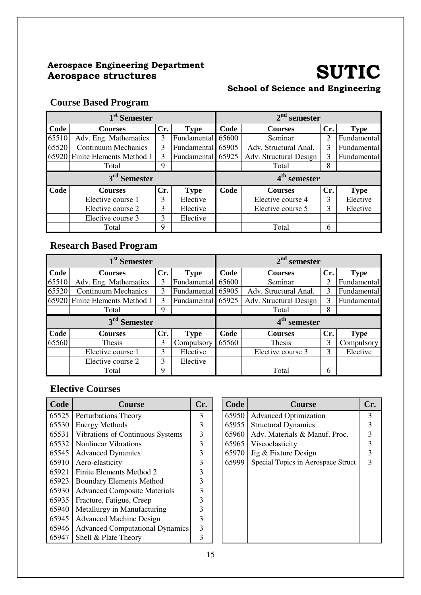#### Aerospace Engineering Department Aerospace Engineering Department<br>Aerospace structures SUTIC

#### School of Science and Engineering

#### **Course Based Program**

| 1 <sup>st</sup> Semester |                                |     |                   |                          | $2nd$ semester         |     |             |  |
|--------------------------|--------------------------------|-----|-------------------|--------------------------|------------------------|-----|-------------|--|
| <b>Code</b>              | <b>Courses</b>                 | Cr. | <b>Type</b>       | Code                     | <b>Courses</b>         | Cr. | <b>Type</b> |  |
| 65510                    | Adv. Eng. Mathematics          | 3   | Fundamental       | 65600                    | Seminar                | 2   | Fundamental |  |
| 65520                    | <b>Continuum Mechanics</b>     | 3   | Fundamental 65905 |                          | Adv. Structural Anal.  | 3   | Fundamental |  |
|                          | 65920 Finite Elements Method 1 | 3   | Fundamental 65925 |                          | Adv. Structural Design | 3   | Fundamental |  |
|                          | Total                          | 9   |                   |                          | Total                  | 8   |             |  |
|                          | 3 <sup>rd</sup> Semester       |     |                   | 4 <sup>th</sup> semester |                        |     |             |  |
| Code                     | <b>Courses</b>                 | Cr. | <b>Type</b>       | Code                     | <b>Courses</b>         | Cr. | <b>Type</b> |  |
|                          | Elective course 1              | 3   | Elective          |                          | Elective course 4      | 3   | Elective    |  |
|                          | Elective course 2              | 3   | Elective          |                          | Elective course 5      | 3   | Elective    |  |
|                          | Elective course 3              | 3   | Elective          |                          |                        |     |             |  |
|                          | Total                          | 9   |                   |                          | Total                  | 6   |             |  |

#### **Research Based Program**

| 1 <sup>st</sup> Semester |                            |     |                   |       | $2nd$ semester           |     |             |  |  |
|--------------------------|----------------------------|-----|-------------------|-------|--------------------------|-----|-------------|--|--|
| Code                     | <b>Courses</b>             | Cr. | <b>Type</b>       | Code  | <b>Courses</b>           | Cr. | <b>Type</b> |  |  |
| 65510                    | Adv. Eng. Mathematics      | 3   | Fundamental 65600 |       | Seminar                  | 2   | Fundamental |  |  |
| 65520                    | <b>Continuum Mechanics</b> | 3   | Fundamental 65905 |       | Adv. Structural Anal.    | 3   | Fundamental |  |  |
| 659201                   | Finite Elements Method 1   | 3   | Fundamental 65925 |       | Adv. Structural Design   | 3   | Fundamental |  |  |
| 9<br>Total               |                            |     |                   |       | Total                    | 8   |             |  |  |
| 3 <sup>rd</sup> Semester |                            |     |                   |       | 4 <sup>th</sup> semester |     |             |  |  |
|                          |                            |     |                   |       |                          |     |             |  |  |
| Code                     | <b>Courses</b>             | Cr. | <b>Type</b>       | Code  | <b>Courses</b>           | Cr. | <b>Type</b> |  |  |
| 65560                    | Thesis                     | 3   | Compulsory        | 65560 | <b>Thesis</b>            | 3   | Compulsory  |  |  |
|                          | Elective course 1          | 3   | Elective          |       | Elective course 3        | 3   | Elective    |  |  |
|                          | Elective course 2          | 3   | Elective          |       |                          |     |             |  |  |

| Code  | <b>Course</b>                          | Cr. | Code  | <b>Course</b>                      | Cr. |
|-------|----------------------------------------|-----|-------|------------------------------------|-----|
| 65525 | Perturbations Theory                   | 3   | 65950 | <b>Advanced Optimization</b>       | 3   |
| 65530 | <b>Energy Methods</b>                  | 3   | 65955 | <b>Structural Dynamics</b>         |     |
| 65531 | Vibrations of Continuous Systems       | 3   | 65960 | Adv. Materials & Manuf. Proc.      |     |
| 65532 | <b>Nonlinear Vibrations</b>            | 3   | 65965 | Viscoelasticity                    |     |
| 65545 | <b>Advanced Dynamics</b>               | 3   | 65970 | Jig & Fixture Design               |     |
| 65910 | Aero-elasticity                        | 3   | 65999 | Special Topics in Aerospace Struct |     |
| 65921 | Finite Elements Method 2               |     |       |                                    |     |
| 65923 | <b>Boundary Elements Method</b>        |     |       |                                    |     |
| 65930 | <b>Advanced Composite Materials</b>    |     |       |                                    |     |
| 65935 | Fracture, Fatigue, Creep               |     |       |                                    |     |
| 65940 | Metallurgy in Manufacturing            |     |       |                                    |     |
| 65945 | <b>Advanced Machine Design</b>         |     |       |                                    |     |
| 65946 | <b>Advanced Computational Dynamics</b> |     |       |                                    |     |
| 65947 | Shell & Plate Theory                   |     |       |                                    |     |

| Code  | <b>Course</b>                      | Cr. |
|-------|------------------------------------|-----|
| 65950 | <b>Advanced Optimization</b>       | 3   |
| 65955 | <b>Structural Dynamics</b>         | 3   |
| 65960 | Adv. Materials & Manuf. Proc.      | 3   |
| 65965 | Viscoelasticity                    | 3   |
| 65970 | Jig & Fixture Design               | 3   |
| 65999 | Special Topics in Aerospace Struct | 3   |
|       |                                    |     |
|       |                                    |     |
|       |                                    |     |
|       |                                    |     |
|       |                                    |     |
|       |                                    |     |
|       |                                    |     |
|       |                                    |     |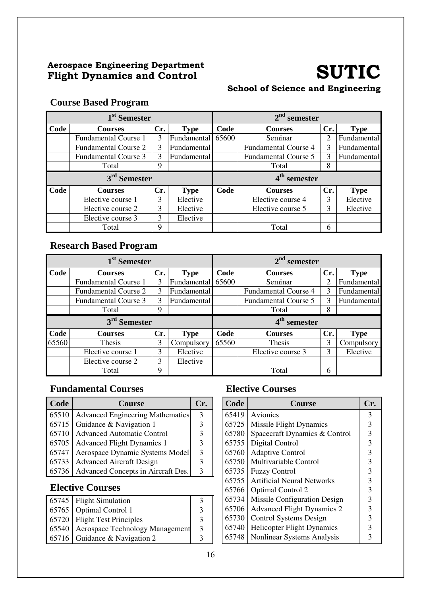#### Aerospace Engineering Department Aerospace Engineering Department<br>
Flight Dynamics and Control SUTIC

#### School of Science and Engineering

#### **Course Based Program**

|                          | 1 <sup>st</sup> Semester    |     |             |       | $2nd$ semester              |     |             |
|--------------------------|-----------------------------|-----|-------------|-------|-----------------------------|-----|-------------|
| Code                     | <b>Courses</b>              | Cr. | <b>Type</b> | Code  | <b>Courses</b>              | Cr. | <b>Type</b> |
|                          | <b>Fundamental Course 1</b> | 3   | Fundamental | 65600 | Seminar                     | 2   | Fundamental |
|                          | <b>Fundamental Course 2</b> | 3   | Fundamental |       | <b>Fundamental Course 4</b> | 3   | Fundamental |
|                          | <b>Fundamental Course 3</b> | 3   | Fundamental |       | <b>Fundamental Course 5</b> | 3   | Fundamental |
|                          | Total                       | 9   |             |       | Total                       | 8   |             |
| 3 <sup>rd</sup> Semester |                             |     |             |       | 4 <sup>th</sup> semester    |     |             |
|                          |                             |     |             |       |                             |     |             |
| Code                     | <b>Courses</b>              | Cr. | <b>Type</b> | Code  | <b>Courses</b>              | Cr. | <b>Type</b> |
|                          | Elective course 1           | 3   | Elective    |       | Elective course 4           |     | Elective    |
|                          | Elective course 2           | 3   | Elective    |       | Elective course 5           | 3   | Elective    |
|                          | Elective course 3           | 3   | Elective    |       |                             |     |             |

#### **Research Based Program**

|       | 1 <sup>st</sup> Semester    |     |             |       | $2nd$ semester              |     |             |
|-------|-----------------------------|-----|-------------|-------|-----------------------------|-----|-------------|
| Code  | <b>Courses</b>              | Cr. | <b>Type</b> | Code  | <b>Courses</b>              | Cr. | <b>Type</b> |
|       | <b>Fundamental Course 1</b> | 3   | Fundamental | 65600 | Seminar                     | 2   | Fundamental |
|       | <b>Fundamental Course 2</b> | 3   | Fundamental |       | <b>Fundamental Course 4</b> | 3   | Fundamental |
|       | <b>Fundamental Course 3</b> | 3   | Fundamental |       | <b>Fundamental Course 5</b> | 3   | Fundamental |
|       | Total                       | 9   |             |       | Total                       | 8   |             |
|       |                             |     |             |       |                             |     |             |
|       | 3 <sup>rd</sup> Semester    |     |             |       | 4 <sup>th</sup> semester    |     |             |
| Code  | <b>Courses</b>              | Cr. | <b>Type</b> | Code  | <b>Courses</b>              | Cr. | <b>Type</b> |
| 65560 | Thesis                      | 3   | Compulsory  | 65560 | <b>Thesis</b>               | 3   | Compulsory  |
|       | Elective course 1           | 3   | Elective    |       | Elective course 3           | 3   | Elective    |
|       | Elective course 2           | 3   | Elective    |       |                             |     |             |

#### **Fundamental Courses Elective Courses**

| <b>Code</b> | <b>Course</b>                              | Cr. | Code  | <b>Course</b>                         | Cr. |
|-------------|--------------------------------------------|-----|-------|---------------------------------------|-----|
|             | 65510   Advanced Engineering Mathematics   | 3   | 65419 | Avionics                              |     |
|             | 65715 Guidance & Navigation 1              |     |       | 65725   Missile Flight Dynamics       |     |
|             | 65710   Advanced Automatic Control         |     |       | 65780   Spacecraft Dynamics & Control |     |
|             | 65705   Advanced Flight Dynamics 1         |     |       | 65755   Digital Control               |     |
| 65747       | Aerospace Dynamic Systems Model            |     |       | 65760   Adaptive Control              |     |
|             | 65733   Advanced Aircraft Design           |     |       | 65750   Multivariable Control         |     |
|             | 65736   Advanced Concepts in Aircraft Des. |     | 65735 | <b>Fuzzy Control</b>                  |     |

| $65745$ Flight Simulation               |   |
|-----------------------------------------|---|
| 65765   Optimal Control 1               | 3 |
| $65720$ Flight Test Principles          |   |
| 65540   Aerospace Technology Management | 3 |
| 65716 Guidance & Navigation 2           |   |

| Code  | <b>Course</b>                     | Cr. |
|-------|-----------------------------------|-----|
| 65419 | Avionics                          | 3   |
| 65725 | <b>Missile Flight Dynamics</b>    | 3   |
| 65780 | Spacecraft Dynamics & Control     | 3   |
| 65755 | Digital Control                   | 3   |
| 65760 | <b>Adaptive Control</b>           | 3   |
| 65750 | Multivariable Control             | 3   |
| 65735 | <b>Fuzzy Control</b>              | 3   |
| 65755 | <b>Artificial Neural Networks</b> | 3   |
| 65766 | <b>Optimal Control 2</b>          | 3   |
| 65734 | Missile Configuration Design      | 3   |
| 65706 | <b>Advanced Flight Dynamics 2</b> | 3   |
| 65730 | <b>Control Systems Design</b>     | 3   |
| 65740 | <b>Helicopter Flight Dynamics</b> | 3   |
| 65748 | <b>Nonlinear Systems Analysis</b> | 3   |
|       |                                   |     |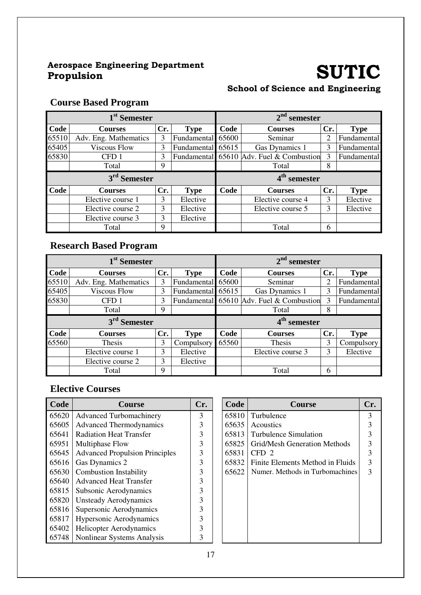## Aerospace Engineering Department

## SUTIC

#### School of Science and Engineering

#### **Course Based Program**

|       | 1 <sup>st</sup> Semester |     |                   | $2nd$ semester |                                          |     |             |
|-------|--------------------------|-----|-------------------|----------------|------------------------------------------|-----|-------------|
| Code  | <b>Courses</b>           | Cr. | <b>Type</b>       | Code           | <b>Courses</b>                           | Cr. | <b>Type</b> |
| 65510 | Adv. Eng. Mathematics    | 3   | Fundamental       | 65600          | Seminar                                  | 2   | Fundamental |
| 65405 | <b>Viscous Flow</b>      | 3   | Fundamental 65615 |                | Gas Dynamics 1                           | 3   | Fundamental |
| 65830 | CFD <sub>1</sub>         | 3   |                   |                | Fundamental 65610 Adv. Fuel & Combustion | 3   | Fundamental |
|       | Total                    | 9   |                   |                | Total                                    | 8   |             |
|       | 3 <sup>rd</sup> Semester |     |                   |                | 4 <sup>th</sup> semester                 |     |             |
| Code  | <b>Courses</b>           | Cr. | <b>Type</b>       | Code           | <b>Courses</b>                           | Cr. | <b>Type</b> |
|       | Elective course 1        | 3   | Elective          |                | Elective course 4                        | 3   | Elective    |
|       | Elective course 2        | 3   | Elective          |                | Elective course 5                        | 3   | Elective    |
|       | Elective course 3        | 3   | Elective          |                |                                          |     |             |
|       | Total                    | 9   |                   |                | Total                                    | 6   |             |

#### **Research Based Program**

|       | 1 <sup>st</sup> Semester |     |             | $2nd$ semester |                                          |     |             |
|-------|--------------------------|-----|-------------|----------------|------------------------------------------|-----|-------------|
| Code  | <b>Courses</b>           | Cr. | <b>Type</b> | Code           | <b>Courses</b>                           | Cr. | <b>Type</b> |
| 65510 | Adv. Eng. Mathematics    | 3   | Fundamental | 65600          | Seminar                                  | 2   | Fundamental |
| 65405 | <b>Viscous Flow</b>      | 3   | Fundamental | 65615          | Gas Dynamics 1                           | 3   | Fundamental |
| 65830 | CFD <sub>1</sub>         | 3   |             |                | Fundamental 65610 Adv. Fuel & Combustion | 3   | Fundamental |
|       | Total                    | 9   |             |                | Total                                    | 8   |             |
|       |                          |     |             |                |                                          |     |             |
|       | 3 <sup>rd</sup> Semester |     |             |                | 4 <sup>th</sup> semester                 |     |             |
| Code  | <b>Courses</b>           | Cr. | <b>Type</b> | Code           | <b>Courses</b>                           | Cr. | <b>Type</b> |
| 65560 | Thesis                   | 3   | Compulsory  | 65560          | Thesis                                   | 3   | Compulsory  |
|       | Elective course 1        | 3   | Elective    |                | Elective course 3                        | 3   | Elective    |
|       | Elective course 2        | 3   | Elective    |                |                                          |     |             |

| Code  | Course                                | Cr. | Code  | <b>Course</b>                    | Cr. |
|-------|---------------------------------------|-----|-------|----------------------------------|-----|
| 65620 | <b>Advanced Turbomachinery</b>        | 3   | 65810 | Turbulence                       | 3   |
| 65605 | <b>Advanced Thermodynamics</b>        | 3   | 65635 | Acoustics                        |     |
| 65641 | <b>Radiation Heat Transfer</b>        | 3   | 65813 | Turbulence Simulation            |     |
| 65951 | Multiphase Flow                       | 3   | 65825 | Grid/Mesh Generation Methods     | 3   |
| 65645 | <b>Advanced Propulsion Principles</b> | 3   | 65831 | CFD <sub>2</sub>                 |     |
| 65616 | Gas Dynamics 2                        | 3   | 65832 | Finite Elements Method in Fluids | 3   |
| 65630 | <b>Combustion Instability</b>         | 3   | 65622 | Numer. Methods in Turbomachines  | 3   |
| 65640 | <b>Advanced Heat Transfer</b>         | 3   |       |                                  |     |
| 65815 | Subsonic Aerodynamics                 | 3   |       |                                  |     |
| 65820 | <b>Unsteady Aerodynamics</b>          | 3   |       |                                  |     |
| 65816 | Supersonic Aerodynamics               | 3   |       |                                  |     |
| 65817 | <b>Hypersonic Aerodynamics</b>        | 3   |       |                                  |     |
| 65402 | <b>Helicopter Aerodynamics</b>        | 3   |       |                                  |     |
| 65748 | Nonlinear Systems Analysis            | 3   |       |                                  |     |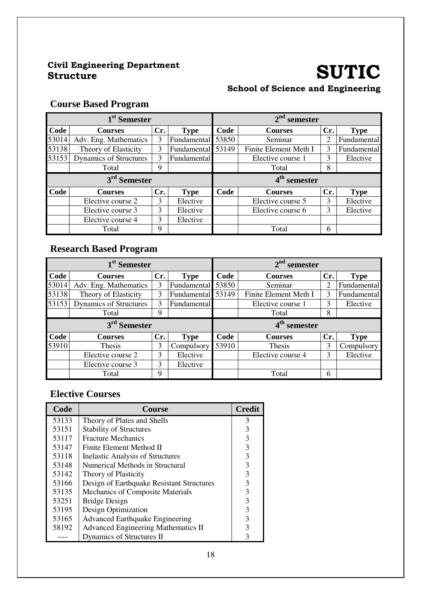### Civil Engineering Department

## SUTIC

#### School of Science and Engineering

#### **Course Based Program**

|       | 1 <sup>st</sup> Semester      |     |                   |       | $2nd$ semester           |     |             |
|-------|-------------------------------|-----|-------------------|-------|--------------------------|-----|-------------|
| Code  | <b>Courses</b>                | Cr. | <b>Type</b>       | Code  | <b>Courses</b>           | Cr. | <b>Type</b> |
| 53014 | Adv. Eng. Mathematics         | 3   | Fundamental       | 53850 | Seminar                  |     | Fundamental |
| 53138 | Theory of Elasticity          | 3   | Fundamental 53149 |       | Finite Element Meth I    | 3   | Fundamental |
| 53153 | <b>Dynamics of Structures</b> | 3   | Fundamental       |       | Elective course 1        | 3   | Elective    |
|       | Total                         | Q   |                   |       | Total                    | 8   |             |
|       | 3 <sup>rd</sup> Semester      |     |                   |       | 4 <sup>th</sup> semester |     |             |
| Code  | <b>Courses</b>                | Cr. | <b>Type</b>       | Code  | <b>Courses</b>           | Cr. | <b>Type</b> |
|       | Elective course 2             | 3   | Elective          |       | Elective course 5        | 3   | Elective    |
|       |                               |     |                   |       |                          |     |             |
|       | Elective course 3             | 3   | Elective          |       | Elective course 6        | 3   | Elective    |
|       | Elective course 4             | 3   | Elective          |       |                          |     |             |

#### **Research Based Program**

|       | 1 <sup>st</sup> Semester      |     |             |       | $2nd$ semester           |     |             |
|-------|-------------------------------|-----|-------------|-------|--------------------------|-----|-------------|
| Code  | <b>Courses</b>                | Cr. | <b>Type</b> | Code  | <b>Courses</b>           | Cr. | <b>Type</b> |
| 53014 | Adv. Eng. Mathematics         | 3   | Fundamental | 53850 | Seminar                  | 2   | Fundamental |
| 53138 | Theory of Elasticity          | 3   | Fundamental | 53149 | Finite Element Meth I    | 3   | Fundamental |
| 53153 | <b>Dynamics of Structures</b> | 3   | Fundamental |       | Elective course 1        | 3   | Elective    |
|       | Total                         | 9   |             |       | Total                    | 8   |             |
|       |                               |     |             |       |                          |     |             |
|       | 3 <sup>rd</sup> Semester      |     |             |       | 4 <sup>th</sup> semester |     |             |
| Code  | <b>Courses</b>                | Cr. | Type        | Code  | <b>Courses</b>           | Cr. | <b>Type</b> |
| 53910 | Thesis                        | 3   | Compulsory  | 53910 | Thesis                   | 3   | Compulsory  |
|       | Elective course 2             | 3   | Elective    |       | Elective course 4        | 3   | Elective    |
|       | Elective course 3             | 3   | Elective    |       |                          |     |             |

| Code  | <b>Course</b>                              | <b>Credit</b> |
|-------|--------------------------------------------|---------------|
| 53133 | Theory of Plates and Shells                | 3             |
| 53151 | <b>Stability of Structures</b>             | 3             |
| 53117 | <b>Fracture Mechanics</b>                  | 3             |
| 53147 | Finite Element Method II                   | 3             |
| 53118 | <b>Inelastic Analysis of Structures</b>    | 3             |
| 53148 | Numerical Methods in Structural            | 3             |
| 53142 | Theory of Plasticity                       | 3             |
| 53166 | Design of Earthquake Resistant Structures  | 3             |
| 53135 | Mechanics of Composite Materials           | 3             |
| 53251 | <b>Bridge Design</b>                       | 3             |
| 53195 | Design Optimization                        | 3             |
| 53165 | <b>Advanced Earthquake Engineering</b>     | 3             |
| 58192 | <b>Advanced Engineering Mathematics II</b> | 3             |
|       | Dynamics of Structures II                  | 3             |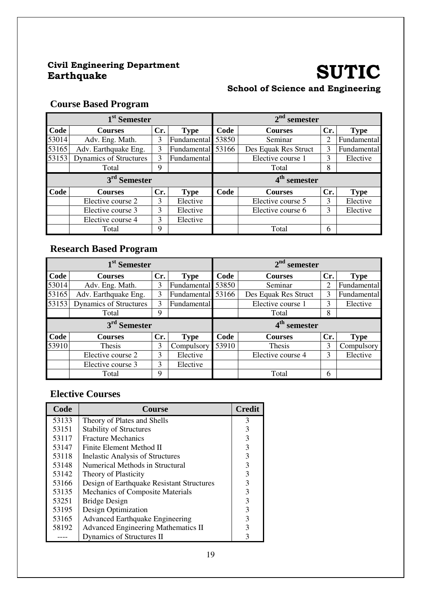### Civil Engineering Department

## SUTIC

### School of Science and Engineering

#### **Course Based Program**

|       | 1 <sup>st</sup> Semester      |     |                   | $2nd$ semester |                          |     |             |
|-------|-------------------------------|-----|-------------------|----------------|--------------------------|-----|-------------|
| Code  | <b>Courses</b>                | Cr. | Type              | Code           | <b>Courses</b>           | Cr. | <b>Type</b> |
| 53014 | Adv. Eng. Math.               | 3   | Fundamental       | 53850          | Seminar                  |     | Fundamental |
| 53165 | Adv. Earthquake Eng.          | 3   | Fundamental 53166 |                | Des Equak Res Struct     | 3   | Fundamental |
| 53153 | <b>Dynamics of Structures</b> | 3   | Fundamental       |                | Elective course 1        | 3   | Elective    |
|       | Total                         | q   |                   |                | Total                    | 8   |             |
|       |                               |     |                   |                |                          |     |             |
|       | 3 <sup>rd</sup> Semester      |     |                   |                | 4 <sup>th</sup> semester |     |             |
| Code  | <b>Courses</b>                | Cr. | <b>Type</b>       | Code           | <b>Courses</b>           | Cr. | <b>Type</b> |
|       | Elective course 2             | 3   | Elective          |                | Elective course 5        | 3   | Elective    |
|       | Elective course 3             | 3   | Elective          |                | Elective course 6        | 3   | Elective    |
|       | Elective course 4             | 3   | Elective          |                |                          |     |             |

#### **Research Based Program**

|       | 1 <sup>st</sup> Semester      |     |                   | $2nd$ semester |                          |     |             |
|-------|-------------------------------|-----|-------------------|----------------|--------------------------|-----|-------------|
| Code  | <b>Courses</b>                | Cr. | <b>Type</b>       | Code           | <b>Courses</b>           | Cr. | <b>Type</b> |
| 53014 | Adv. Eng. Math.               | 3   | Fundamental       | 53850          | Seminar                  | 2   | Fundamental |
| 53165 | Adv. Earthquake Eng.          | 3   | Fundamental 53166 |                | Des Equak Res Struct     | 3   | Fundamental |
| 53153 | <b>Dynamics of Structures</b> | 3   | Fundamental       |                | Elective course 1        | 3   | Elective    |
|       | Total                         | 9   |                   |                | Total                    | 8   |             |
|       |                               |     |                   |                |                          |     |             |
|       | 3 <sup>rd</sup> Semester      |     |                   |                | 4 <sup>th</sup> semester |     |             |
| Code  | <b>Courses</b>                | Cr. | <b>Type</b>       | Code           | <b>Courses</b>           | Cr. | <b>Type</b> |
| 53910 | Thesis                        | 3   | Compulsory        | 53910          | Thesis                   | 3   | Compulsory  |
|       | Elective course 2             | 3   | Elective          |                | Elective course 4        | 3   | Elective    |
|       | Elective course 3             | 3   | Elective          |                |                          |     |             |

| Code  | <b>Course</b>                              | <b>Credit</b> |
|-------|--------------------------------------------|---------------|
| 53133 | Theory of Plates and Shells                | 3             |
| 53151 | <b>Stability of Structures</b>             | 3             |
| 53117 | <b>Fracture Mechanics</b>                  | 3             |
| 53147 | Finite Element Method II                   | 3             |
| 53118 | <b>Inelastic Analysis of Structures</b>    | 3             |
| 53148 | Numerical Methods in Structural            | 3             |
| 53142 | Theory of Plasticity                       | 3             |
| 53166 | Design of Earthquake Resistant Structures  | 3             |
| 53135 | Mechanics of Composite Materials           | 3             |
| 53251 | <b>Bridge Design</b>                       | 3             |
| 53195 | Design Optimization                        | 3             |
| 53165 | <b>Advanced Earthquake Engineering</b>     | 3             |
| 58192 | <b>Advanced Engineering Mathematics II</b> | 3             |
|       | Dynamics of Structures II                  | 3             |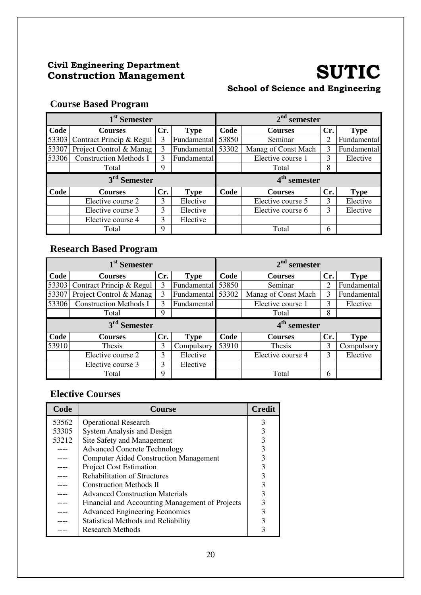#### Civil Engineering Department Civil Engineering Department<br>Construction Management SUTIC

#### School of Science and Engineering

### **Course Based Program**

| 1 <sup>st</sup> Semester |                               |     |                   |       | $2nd$ semester      |     |             |  |
|--------------------------|-------------------------------|-----|-------------------|-------|---------------------|-----|-------------|--|
| Code                     | <b>Courses</b>                | Cr. | <b>Type</b>       | Code  | <b>Courses</b>      | Cr. | <b>Type</b> |  |
| 53303                    | Contract Princip & Regul      | 3   | Fundamental       | 53850 | Seminar             |     | Fundamental |  |
| 53307                    | Project Control & Manag       | 3   | Fundamental 53302 |       | Manag of Const Mach | 3   | Fundamental |  |
| 53306                    | <b>Construction Methods I</b> | 3   | Fundamental       |       | Elective course 1   | 3   | Elective    |  |
|                          | Total                         | 9   |                   |       | Total               | 8   |             |  |
| 3 <sup>rd</sup> Semester |                               |     |                   |       |                     |     |             |  |
|                          |                               |     |                   |       | $4th$ semester      |     |             |  |
| Code                     | <b>Courses</b>                | Cr. | <b>Type</b>       | Code  | <b>Courses</b>      | Cr. | <b>Type</b> |  |
|                          | Elective course 2             | 3   | Elective          |       | Elective course 5   | 3   | Elective    |  |
|                          | Elective course 3             | 3   | Elective          |       | Elective course 6   | 3   | Elective    |  |
|                          | Elective course 4             | 3   | Elective          |       |                     |     |             |  |

#### **Research Based Program**

| 1 <sup>st</sup> Semester |                               |     |                   |       | $2nd$ semester           |     |             |  |
|--------------------------|-------------------------------|-----|-------------------|-------|--------------------------|-----|-------------|--|
| Code                     | <b>Courses</b>                | Cr. | <b>Type</b>       | Code  | <b>Courses</b>           | Cr. | <b>Type</b> |  |
| 53303                    | Contract Princip & Regul      | 3   | Fundamental       | 53850 | Seminar                  | 2   | Fundamental |  |
| 53307                    | Project Control & Manag       | 3   | Fundamental 53302 |       | Manag of Const Mach      | 3   | Fundamental |  |
| 53306                    | <b>Construction Methods I</b> | 3   | Fundamental       |       | Elective course 1        | 3   | Elective    |  |
|                          | Total                         | 9   |                   |       | Total                    | 8   |             |  |
| 3 <sup>rd</sup> Semester |                               |     |                   |       |                          |     |             |  |
|                          |                               |     |                   |       | 4 <sup>th</sup> semester |     |             |  |
| Code                     | <b>Courses</b>                | Cr. | <b>Type</b>       | Code  | <b>Courses</b>           | Cr. | <b>Type</b> |  |
| 53910                    | Thesis                        | 3   | Compulsory        | 53910 | <b>Thesis</b>            | 3   | Compulsory  |  |
|                          | Elective course 2             | 3   | Elective          |       | Elective course 4        | 3   | Elective    |  |
|                          | Elective course 3             | 3   | Elective          |       |                          |     |             |  |

| Code  | <b>Course</b>                                   | <b>Credit</b> |
|-------|-------------------------------------------------|---------------|
| 53562 | <b>Operational Research</b>                     | 3             |
| 53305 | System Analysis and Design                      | 3             |
| 53212 | Site Safety and Management                      | 3             |
|       | <b>Advanced Concrete Technology</b>             |               |
|       | <b>Computer Aided Construction Management</b>   | 3             |
|       | <b>Project Cost Estimation</b>                  | 3             |
|       | <b>Rehabilitation of Structures</b>             | 3             |
|       | <b>Construction Methods II</b>                  |               |
|       | <b>Advanced Construction Materials</b>          | 3             |
|       | Financial and Accounting Management of Projects |               |
|       | <b>Advanced Engineering Economics</b>           | 3             |
|       | <b>Statistical Methods and Reliability</b>      |               |
|       | <b>Research Methods</b>                         |               |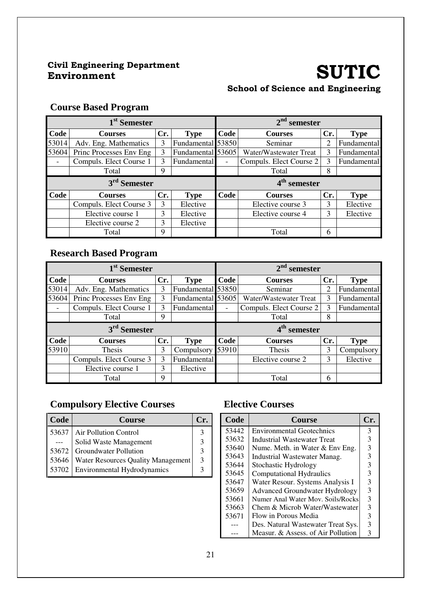### Civil Engineering Department

### SUTIC School of Science and Engineering

#### **Course Based Program**

| 1 <sup>st</sup> Semester |                          |     |                   | $2nd$ semester |                          |     |             |
|--------------------------|--------------------------|-----|-------------------|----------------|--------------------------|-----|-------------|
| Code                     | <b>Courses</b>           | Cr. | <b>Type</b>       | Code           | <b>Courses</b>           | Cr. | <b>Type</b> |
| 53014                    | Adv. Eng. Mathematics    | 3   | Fundamental 53850 |                | Seminar                  | 2   | Fundamental |
| 53604                    | Princ Processes Env Eng  | 3   | Fundamental 53605 |                | Water/Wastewater Treat   | 3   | Fundamental |
|                          | Compuls. Elect Course 1  | 3   | Fundamental       |                | Compuls. Elect Course 2  | 3   | Fundamental |
|                          | Total                    | 9   |                   |                | Total                    | 8   |             |
|                          | 3 <sup>rd</sup> Semester |     |                   |                | 4 <sup>th</sup> semester |     |             |
| Code                     | <b>Courses</b>           | Cr. | <b>Type</b>       | Code           | <b>Courses</b>           | Cr. | <b>Type</b> |
|                          | Compuls. Elect Course 3  | 3   | Elective          |                | Elective course 3        | 3   | Elective    |
|                          | Elective course 1        | 3   | Elective          |                | Elective course 4        | 3   | Elective    |
|                          | Elective course 2        | 3   | Elective          |                |                          |     |             |
|                          |                          | 9   |                   |                | Total                    | 6   |             |

#### **Research Based Program**

| 1 <sup>st</sup> Semester |                         |     |                   | $2nd$ semester |                          |     |             |
|--------------------------|-------------------------|-----|-------------------|----------------|--------------------------|-----|-------------|
| Code                     | <b>Courses</b>          | Cr. | <b>Type</b>       | Code           | <b>Courses</b>           | Cr. | <b>Type</b> |
| 53014                    | Adv. Eng. Mathematics   | 3   | Fundamental 53850 |                | Seminar                  | 2   | Fundamental |
| 53604                    | Princ Processes Env Eng | 3   | Fundamental 53605 |                | Water/Wastewater Treat   | 3   | Fundamental |
| $\overline{\phantom{a}}$ | Compuls. Elect Course 1 | 3   | Fundamental       |                | Compuls. Elect Course 2  | 3   | Fundamental |
|                          | Total                   | 9   |                   |                | Total                    | 8   |             |
| 3 <sup>rd</sup> Semester |                         |     |                   |                |                          |     |             |
|                          |                         |     |                   |                | 4 <sup>th</sup> semester |     |             |
| Code                     | <b>Courses</b>          | Cr. | <b>Type</b>       | Code           | <b>Courses</b>           | Cr. | <b>Type</b> |
| 53910                    | Thesis                  | 3   | Compulsory        | 53910          | Thesis                   | 3   | Compulsory  |
|                          | Compuls. Elect Course 3 | 3   | Fundamental       |                | Elective course 2        | 3   | Elective    |
|                          | Elective course 1       | 3   | Elective          |                |                          |     |             |

#### **Compulsory Elective Courses**

| <b>Code</b> | <b>Course</b>                              |   |
|-------------|--------------------------------------------|---|
|             | 53637   Air Pollution Control              |   |
|             | Solid Waste Management                     |   |
|             | 53672 Groundwater Pollution                |   |
|             | 53646   Water Resources Quality Management | 3 |
|             | 53702 Environmental Hydrodynamics          |   |

| Code  | Course                                | $\mathbf{C}\mathbf{r}$ |
|-------|---------------------------------------|------------------------|
| 53442 | <b>Environmental Geotechnics</b>      | 3                      |
| 53632 | Industrial Wastewater Treat           | 3                      |
| 53640 | Nume. Meth. in Water & Env Eng.       | 3                      |
| 53643 | Industrial Wastewater Manag.          | 3                      |
| 53644 | Stochastic Hydrology                  | 3                      |
| 53645 | <b>Computational Hydraulics</b>       | 3                      |
| 53647 | Water Resour. Systems Analysis I      | 3                      |
| 53659 | <b>Advanced Groundwater Hydrology</b> | 3                      |
| 53661 | Numer Anal Water Mov. Soils/Rocks     | 3                      |
| 53663 | Chem & Microb Water/Wastewater        | 3                      |
| 53671 | Flow in Porous Media                  | 3                      |
|       | Des. Natural Wastewater Treat Sys.    | 3                      |
|       | Measur. & Assess. of Air Pollution    | 3                      |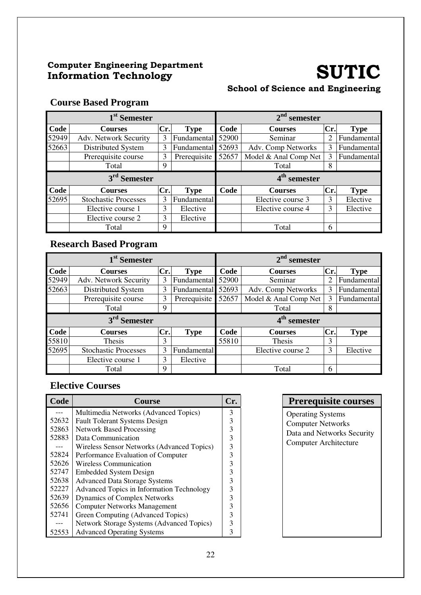#### Computer Engineering Department Computer Engineering Department<br>Information Technology **SUTIC**

#### School of Science and Engineering

#### **Course Based Program**

| 1 <sup>st</sup> Semester |                             |     |              | $2nd$ semester |                          |     |             |
|--------------------------|-----------------------------|-----|--------------|----------------|--------------------------|-----|-------------|
| Code                     | <b>Courses</b>              | Cr. | <b>Type</b>  | Code           | <b>Courses</b>           | Cr. | <b>Type</b> |
| 52949                    | Adv. Network Security       | 3   | Fundamental  | 52900          | Seminar                  | 2   | Fundamental |
| 52663                    | Distributed System          | 3   | Fundamental  | 52693          | Adv. Comp Networks       | 3   | Fundamental |
|                          | Prerequisite course         | 3   | Prerequisite | 52657          | Model & Anal Comp Net    | 3   | Fundamental |
|                          | Total                       | 9   |              |                | Total                    | 8   |             |
|                          | 3 <sup>rd</sup> Semester    |     |              |                | 4 <sup>th</sup> semester |     |             |
| Code                     | <b>Courses</b>              | Cr. | <b>Type</b>  | Code           | <b>Courses</b>           | Cr. | <b>Type</b> |
| 52695                    | <b>Stochastic Processes</b> | 3   | Fundamental  |                | Elective course 3        | 3   | Elective    |
|                          | Elective course 1           | 3   | Elective     |                | Elective course 4        | 3   | Elective    |
|                          | Elective course 2           | 3   | Elective     |                |                          |     |             |
|                          |                             |     |              |                |                          |     |             |

#### **Research Based Program**

| 1 <sup>st</sup> Semester           |                             |     |              | $2nd$ semester |                          |     |             |
|------------------------------------|-----------------------------|-----|--------------|----------------|--------------------------|-----|-------------|
| Code                               | <b>Courses</b>              | Cr. | <b>Type</b>  | Code           | <b>Courses</b>           | Cr. | <b>Type</b> |
| 52949                              | Adv. Network Security       | 3   | Fundamental  | 52900          | Seminar                  | 2   | Fundamental |
| 52663                              | Distributed System          | 3   | Fundamental  | 52693          | Adv. Comp Networks       | 3   | Fundamental |
|                                    | Prerequisite course         | 3   | Prerequisite | 52657          | Model & Anal Comp Net    | 3   | Fundamental |
|                                    | Total                       | 9   |              |                | Total                    | 8   |             |
| 3 <sup>rd</sup><br><b>Semester</b> |                             |     |              |                |                          |     |             |
|                                    |                             |     |              |                | 4 <sup>th</sup> semester |     |             |
| <b>Code</b>                        | <b>Courses</b>              | Cr. | <b>Type</b>  | Code           | <b>Courses</b>           | Cr. | <b>Type</b> |
|                                    | <b>Thesis</b>               | 3   |              | 55810          | <b>Thesis</b>            | 3   |             |
| 55810<br>52695                     | <b>Stochastic Processes</b> | 3   | Fundamental  |                | Elective course 2        | 3   | Elective    |
|                                    | Elective course 1           | 3   | Elective     |                |                          |     |             |

#### **Elective Courses**

| Code  | Course                                           | Ur. |
|-------|--------------------------------------------------|-----|
|       | Multimedia Networks (Advanced Topics)            | 3   |
| 52632 | <b>Fault Tolerant Systems Design</b>             | 3   |
| 52863 | <b>Network Based Processing</b>                  | 3   |
| 52883 | Data Communication                               | 3   |
| $---$ | Wireless Sensor Networks (Advanced Topics)       | 3   |
| 52824 | Performance Evaluation of Computer               | 3   |
| 52626 | <b>Wireless Communication</b>                    | 3   |
| 52747 | <b>Embedded System Design</b>                    | 3   |
| 52638 | <b>Advanced Data Storage Systems</b>             | 3   |
| 52227 | <b>Advanced Topics in Information Technology</b> | 3   |
| 52639 | <b>Dynamics of Complex Networks</b>              | 3   |
| 52656 | <b>Computer Networks Management</b>              | 3   |
| 52741 | Green Computing (Advanced Topics)                |     |
|       | <b>Network Storage Systems (Advanced Topics)</b> | 3   |
| 52553 | <b>Advanced Operating Systems</b>                | 3   |

#### **Prerequisite courses**

Operating Systems Computer Networks Data and Networks Security Computer Architecture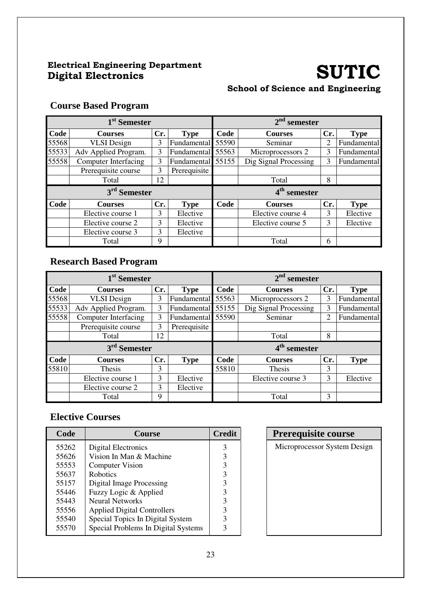### Electrical Engineering Department

### Electrical Engineering Department<br>Digital Electronics **SUTIC** School of Science and Engineering

#### **Course Based Program**

| 1 <sup>st</sup> Semester |                             |     |                   | $2nd$ semester |                          |                |             |  |
|--------------------------|-----------------------------|-----|-------------------|----------------|--------------------------|----------------|-------------|--|
| Code                     | <b>Courses</b>              | Cr. | <b>Type</b>       | Code           | <b>Courses</b>           | Cr.            | <b>Type</b> |  |
| 55568                    | <b>VLSI</b> Design          | 3   | Fundamental       | 55590          | Seminar                  | $\overline{2}$ | Fundamental |  |
| 55533                    | Adv Applied Program.        | 3   | Fundamental 55563 |                | Microprocessors 2        | 3              | Fundamental |  |
| 55558                    | <b>Computer Interfacing</b> | 3   | Fundamental 55155 |                | Dig Signal Processing    | 3              | Fundamental |  |
|                          | Prerequisite course         | 3   | Prerequisite      |                |                          |                |             |  |
|                          | Total                       | 12  |                   |                | Total                    | 8              |             |  |
|                          | 3 <sup>rd</sup> Semester    |     |                   |                | 4 <sup>th</sup> semester |                |             |  |
| Code                     | <b>Courses</b>              | Cr. | <b>Type</b>       | Code           | <b>Courses</b>           | Cr.            | <b>Type</b> |  |
|                          | Elective course 1           | 3   | Elective          |                | Elective course 4        | 3              | Elective    |  |
|                          | Elective course 2           | 3   | Elective          |                | Elective course 5        | 3              | Elective    |  |
|                          | Elective course 3           | 3   | Elective          |                |                          |                |             |  |
|                          | Total                       | 9   |                   |                | Total                    | 6              |             |  |

#### **Research Based Program**

| 1 <sup>st</sup> Semester |                             |     |              | $2nd$ semester |                       |     |             |  |
|--------------------------|-----------------------------|-----|--------------|----------------|-----------------------|-----|-------------|--|
| Code                     | <b>Courses</b>              | Cr. | <b>Type</b>  | Code           | <b>Courses</b>        | Cr. | <b>Type</b> |  |
| 55568                    | <b>VLSI</b> Design          | 3   | Fundamental  | 55563          | Microprocessors 2     | 3   | Fundamental |  |
| 55533                    | Adv Applied Program.        | 3   | Fundamental  | 55155          | Dig Signal Processing | 3   | Fundamental |  |
| 55558                    | <b>Computer Interfacing</b> | 3   | Fundamental  | 55590          | Seminar               | 2   | Fundamental |  |
|                          | Prerequisite course         | 3   | Prerequisite |                |                       |     |             |  |
|                          | Total                       | 12  |              |                | Total                 | 8   |             |  |
|                          | 3 <sup>rd</sup> Semester    |     |              | $4th$ semester |                       |     |             |  |
| Code                     | <b>Courses</b>              | Cr. | <b>Type</b>  | Code           | <b>Courses</b>        | Cr. | <b>Type</b> |  |
| 55810                    | <b>Thesis</b>               | 3   |              | 55810          | Thesis                | 3   |             |  |
|                          | Elective course 1           | 3   | Elective     |                | Elective course 3     | 3   | Elective    |  |
|                          | Elective course 2           | 3   | Elective     |                |                       |     |             |  |
|                          | Total                       | 9   |              |                | Total                 | 3   |             |  |

| Code  | Course                              | <b>Credit</b> | <b>Prerequisite course</b> |
|-------|-------------------------------------|---------------|----------------------------|
| 55262 | Digital Electronics                 | 3             | Microprocessor System D    |
| 55626 | Vision In Man & Machine             |               |                            |
| 55553 | <b>Computer Vision</b>              |               |                            |
| 55637 | <b>Robotics</b>                     |               |                            |
| 55157 | <b>Digital Image Processing</b>     |               |                            |
| 55446 | Fuzzy Logic & Applied               |               |                            |
| 55443 | <b>Neural Networks</b>              | 3             |                            |
| 55556 | <b>Applied Digital Controllers</b>  | 3             |                            |
| 55540 | Special Topics In Digital System    | 3             |                            |
| 55570 | Special Problems In Digital Systems |               |                            |

| <b>Prerequisite course</b>   |  |  |  |  |  |  |  |  |  |
|------------------------------|--|--|--|--|--|--|--|--|--|
| Microprocessor System Design |  |  |  |  |  |  |  |  |  |
|                              |  |  |  |  |  |  |  |  |  |
|                              |  |  |  |  |  |  |  |  |  |
|                              |  |  |  |  |  |  |  |  |  |
|                              |  |  |  |  |  |  |  |  |  |
|                              |  |  |  |  |  |  |  |  |  |
|                              |  |  |  |  |  |  |  |  |  |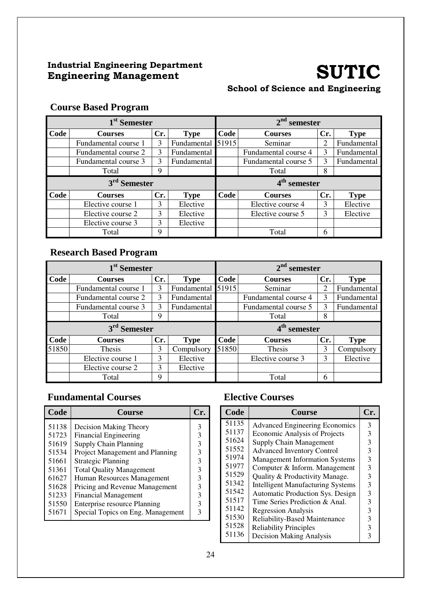#### Industrial Engineering Department Industrial Engineering Department<br>
Engineering Management<br>
SUTIC

# School of Science and Engineering

| 1 <sup>st</sup> Semester |                          |     |             | 2 <sup>nd</sup><br>semester |                       |                |             |  |
|--------------------------|--------------------------|-----|-------------|-----------------------------|-----------------------|----------------|-------------|--|
| Code                     | <b>Courses</b>           | Cr. | <b>Type</b> | Code                        | Cr.<br><b>Courses</b> |                | <b>Type</b> |  |
|                          | Fundamental course 1     | 3   | Fundamental | 51915                       | Seminar               | $\overline{2}$ | Fundamental |  |
|                          | Fundamental course 2     | 3   | Fundamental |                             | Fundamental course 4  | 3              | Fundamental |  |
|                          | Fundamental course 3     | 3   | Fundamental |                             | Fundamental course 5  | 3              | Fundamental |  |
|                          | Total                    | Q   |             |                             | Total                 | 8              |             |  |
|                          | 3 <sup>rd</sup> Semester |     |             | 4 <sup>th</sup> semester    |                       |                |             |  |
| Code                     |                          |     |             |                             |                       |                |             |  |
|                          | <b>Courses</b>           | Cr. | <b>Type</b> | Code                        | <b>Courses</b>        | Cr.            | <b>Type</b> |  |
|                          | Elective course 1        | 3   | Elective    |                             | Elective course 4     | 3              | Elective    |  |
|                          | Elective course 2        | 3   | Elective    |                             | Elective course 5     | 3              | Elective    |  |
|                          | Elective course 3        | 3   | Elective    |                             |                       |                |             |  |

### **Course Based Program**

#### **Research Based Program**

| 1 <sup>st</sup> Semester |                      |     |             | $2nd$ semester           |                                      |     |             |  |
|--------------------------|----------------------|-----|-------------|--------------------------|--------------------------------------|-----|-------------|--|
| Code                     | <b>Courses</b>       | Cr. | <b>Type</b> | Code                     | <b>Type</b><br>Cr.<br><b>Courses</b> |     |             |  |
|                          | Fundamental course 1 | 3   | Fundamental | 51915                    | Seminar                              | 2   | Fundamental |  |
|                          | Fundamental course 2 | 3   | Fundamental |                          | Fundamental course 4                 | 3   | Fundamental |  |
|                          | Fundamental course 3 | 3   | Fundamental |                          | Fundamental course 5                 | 3   | Fundamental |  |
|                          | Total                | 9   |             |                          | Total                                | 8   |             |  |
| 3 <sup>rd</sup> Semester |                      |     |             | 4 <sup>th</sup> semester |                                      |     |             |  |
|                          |                      |     |             |                          |                                      |     |             |  |
| Code                     | <b>Courses</b>       | Cr. | <b>Type</b> | Code                     | <b>Courses</b>                       | Cr. | <b>Type</b> |  |
|                          | Thesis               | 3   | Compulsory  | 51850                    | Thesis                               | 3   | Compulsory  |  |
|                          | Elective course 1    | 3   | Elective    |                          | Elective course 3                    | 3   | Elective    |  |
| 51850                    | Elective course 2    | 3   | Elective    |                          |                                      |     |             |  |

#### **Fundamental Courses**

| Code  | <b>Course</b>                       |   |
|-------|-------------------------------------|---|
| 51138 | Decision Making Theory              | 3 |
| 51723 | <b>Financial Engineering</b>        | 3 |
| 51619 | <b>Supply Chain Planning</b>        | 3 |
| 51534 | Project Management and Planning     |   |
| 51661 | <b>Strategic Planning</b>           | 3 |
| 51361 | <b>Total Quality Management</b>     | 3 |
| 61627 | Human Resources Management          | 3 |
| 51628 | Pricing and Revenue Management      |   |
| 51233 | <b>Financial Management</b>         | 3 |
| 51550 | <b>Enterprise resource Planning</b> | 3 |
| 51671 | Special Topics on Eng. Management   |   |

| Code  | <b>Course</b>                            | Cr. |
|-------|------------------------------------------|-----|
| 51135 | <b>Advanced Engineering Economics</b>    | 3   |
| 51137 | <b>Economic Analysis of Projects</b>     | 3   |
| 51624 | <b>Supply Chain Management</b>           | 3   |
| 51552 | <b>Advanced Inventory Control</b>        | 3   |
| 51974 | <b>Management Information Systems</b>    | 3   |
| 51977 | Computer & Inform. Management            | 3   |
| 51529 | Quality & Productivity Manage.           | 3   |
| 51342 | <b>Intelligent Manufacturing Systems</b> | 3   |
| 51542 | Automatic Production Sys. Design         | 3   |
| 51517 | Time Series Prediction & Anal.           | 3   |
| 51142 | <b>Regression Analysis</b>               | 3   |
| 51530 | <b>Reliability-Based Maintenance</b>     | 3   |
| 51528 | <b>Reliability Principles</b>            | 3   |
| 51136 | <b>Decision Making Analysis</b>          | 3   |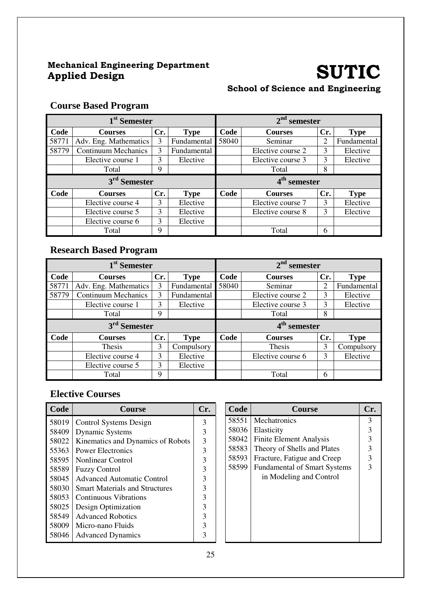## Mechanical Engineering Department

### SUTIC School of Science and Engineering

#### **Course Based Program**

| 1 <sup>st</sup> Semester |                            |     |             | $2nd$ semester |                   |     |             |  |
|--------------------------|----------------------------|-----|-------------|----------------|-------------------|-----|-------------|--|
| Code                     | <b>Courses</b>             | Cr. | <b>Type</b> | Code           | <b>Courses</b>    | Cr. | <b>Type</b> |  |
| 58771                    | Adv. Eng. Mathematics      | 3   | Fundamental | 58040          | Seminar           | 2   | Fundamental |  |
| 58779                    | <b>Continuum Mechanics</b> | 3   | Fundamental |                | Elective course 2 | 3   | Elective    |  |
|                          | Elective course 1          | 3   | Elective    |                | Elective course 3 | 3   | Elective    |  |
|                          | Total                      | 9   |             |                | Total             | 8   |             |  |
|                          | 3 <sup>rd</sup> Semester   |     |             | $4th$ semester |                   |     |             |  |
| Code                     | <b>Courses</b>             | Cr. | <b>Type</b> | Code           | <b>Courses</b>    | Cr. | <b>Type</b> |  |
|                          |                            |     |             |                |                   |     |             |  |
|                          | Elective course 4          | 3   | Elective    |                | Elective course 7 | 3   | Elective    |  |
|                          | Elective course 5          | 3   | Elective    |                | Elective course 8 | 3   | Elective    |  |
|                          | Elective course 6          | 3   | Elective    |                |                   |     |             |  |

#### **Research Based Program**

| 1 <sup>st</sup> Semester |                            |     |             | $2nd$ semester                |                          |     |             |
|--------------------------|----------------------------|-----|-------------|-------------------------------|--------------------------|-----|-------------|
| Code                     | <b>Courses</b>             | Cr. | <b>Type</b> | Code<br>Cr.<br><b>Courses</b> |                          |     | <b>Type</b> |
| 58771                    | Adv. Eng. Mathematics      | 3   | Fundamental | 58040                         | Seminar                  | 2   | Fundamental |
| 58779                    | <b>Continuum Mechanics</b> | 3   | Fundamental |                               | Elective course 2        | 3   | Elective    |
|                          | Elective course 1          | 3   | Elective    |                               | Elective course 3        | 3   | Elective    |
|                          | Total                      | 9   |             |                               | Total                    | 8   |             |
| 3 <sup>rd</sup> Semester |                            |     |             |                               |                          |     |             |
|                          |                            |     |             |                               | 4 <sup>th</sup> semester |     |             |
| Code                     | <b>Courses</b>             | Cr. | <b>Type</b> | Code                          | <b>Courses</b>           | Cr. | <b>Type</b> |
|                          | <b>Thesis</b>              | 3   | Compulsory  |                               | Thesis                   | 3   | Compulsory  |
|                          | Elective course 4          | 3   | Elective    |                               | Elective course 6        | 3   | Elective    |
|                          | Elective course 5          | 3   | Elective    |                               |                          |     |             |

| Code  | Course                                | Cr. | Code  | <b>Course</b>                       | Cr. |
|-------|---------------------------------------|-----|-------|-------------------------------------|-----|
| 58019 | Control Systems Design                | 3   | 58551 | Mechatronics                        | 3   |
| 58409 | <b>Dynamic Systems</b>                | 3   | 58036 | Elasticity                          |     |
| 58022 | Kinematics and Dynamics of Robots     | 3   | 58042 | <b>Finite Element Analysis</b>      |     |
| 55363 | <b>Power Electronics</b>              | 3   | 58583 | Theory of Shells and Plates         |     |
| 58595 | <b>Nonlinear Control</b>              | 3   | 58593 | Fracture, Fatigue and Creep         |     |
| 58589 | <b>Fuzzy Control</b>                  | 3   | 58599 | <b>Fundamental of Smart Systems</b> |     |
| 58045 | <b>Advanced Automatic Control</b>     | 3   |       | in Modeling and Control             |     |
| 58030 | <b>Smart Materials and Structures</b> | 3   |       |                                     |     |
| 58053 | Continuous Vibrations                 | 3   |       |                                     |     |
| 58025 | Design Optimization                   | ζ   |       |                                     |     |
| 58549 | <b>Advanced Robotics</b>              | 3   |       |                                     |     |
| 58009 | Micro-nano Fluids                     | 3   |       |                                     |     |
| 58046 | <b>Advanced Dynamics</b>              | 3   |       |                                     |     |
|       |                                       |     |       |                                     |     |

| Code  | <b>Course</b>                       | Cr. |
|-------|-------------------------------------|-----|
| 58551 | Mechatronics                        | 3   |
| 58036 | Elasticity                          | 3   |
| 58042 | <b>Finite Element Analysis</b>      | 3   |
| 58583 | Theory of Shells and Plates         | 3   |
| 58593 | Fracture, Fatigue and Creep         | 3   |
| 58599 | <b>Fundamental of Smart Systems</b> | 3   |
|       | in Modeling and Control             |     |
|       |                                     |     |
|       |                                     |     |
|       |                                     |     |
|       |                                     |     |
|       |                                     |     |
|       |                                     |     |
|       |                                     |     |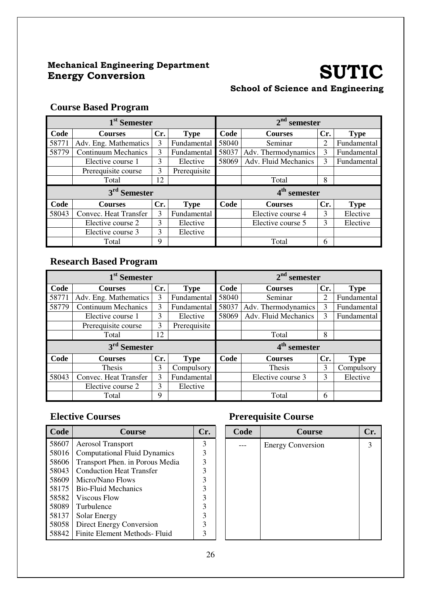#### Mechanical Engineering Department Mechanical Engineering Department<br>
Energy Conversion

# School of Science and Engineering

#### **Course Based Program**

| 1 <sup>st</sup> Semester |                            |     |              | $2nd$ semester           |                      |     |             |  |
|--------------------------|----------------------------|-----|--------------|--------------------------|----------------------|-----|-------------|--|
| Code                     | <b>Courses</b>             | Cr. | <b>Type</b>  | Code                     | <b>Courses</b>       | Cr. | <b>Type</b> |  |
| 58771                    | Adv. Eng. Mathematics      | 3   | Fundamental  | 58040                    | Seminar              | 2   | Fundamental |  |
| 58779                    | <b>Continuum Mechanics</b> | 3   | Fundamental  | 58037                    | Adv. Thermodynamics  | 3   | Fundamental |  |
|                          | Elective course 1          | 3   | Elective     | 58069                    | Adv. Fluid Mechanics | 3   | Fundamental |  |
|                          | Prerequisite course        | 3   | Prerequisite |                          |                      |     |             |  |
|                          | Total                      | 12  |              |                          | Total                | 8   |             |  |
|                          | 3 <sup>rd</sup> Semester   |     |              | 4 <sup>th</sup> semester |                      |     |             |  |
| Code                     | <b>Courses</b>             | Cr. | <b>Type</b>  | Code                     | <b>Courses</b>       | Cr. | <b>Type</b> |  |
| 58043                    | Convec. Heat Transfer      | 3   | Fundamental  |                          | Elective course 4    | 3   | Elective    |  |
|                          | Elective course 2          | 3   | Elective     |                          | Elective course 5    | 3   | Elective    |  |
|                          | Elective course 3          | 3   | Elective     |                          |                      |     |             |  |
|                          | Total                      | 9   |              |                          | Total                | 6   |             |  |

#### **Research Based Program**

|       | 1 <sup>st</sup> Semester   |     |              |       | $2nd$ semester       |     |             |
|-------|----------------------------|-----|--------------|-------|----------------------|-----|-------------|
| Code  | <b>Courses</b>             | Cr. | <b>Type</b>  | Code  | <b>Courses</b>       | Cr. | <b>Type</b> |
| 58771 | Adv. Eng. Mathematics      | 3   | Fundamental  | 58040 | Seminar              | 2   | Fundamental |
| 58779 | <b>Continuum Mechanics</b> | 3   | Fundamental  | 58037 | Adv. Thermodynamics  | 3   | Fundamental |
|       | Elective course 1          | 3   | Elective     | 58069 | Adv. Fluid Mechanics | 3   | Fundamental |
|       | Prerequisite course        | 3   | Prerequisite |       |                      |     |             |
|       | Total                      | 12  |              |       | Total                | 8   |             |
|       | 3 <sup>rd</sup> Semester   |     |              |       | $4th$ semester       |     |             |
| Code  | <b>Courses</b>             | Cr. | <b>Type</b>  | Code  | <b>Courses</b>       | Cr. | <b>Type</b> |
|       | <b>Thesis</b>              | 3   | Compulsory   |       | Thesis               | 3   | Compulsory  |
| 58043 | Convec. Heat Transfer      | 3   | Fundamental  |       | Elective course 3    | 3   | Elective    |
|       | Elective course 2          | 3   | Elective     |       |                      |     |             |
|       | Total                      | 9   |              |       | Total                | 6   |             |

| Code  | <b>Course</b>                       | Cr. | Code | Course                   | Cr. |
|-------|-------------------------------------|-----|------|--------------------------|-----|
| 58607 | <b>Aerosol Transport</b>            | 3   |      | <b>Energy Conversion</b> | 3   |
| 58016 | <b>Computational Fluid Dynamics</b> | 3   |      |                          |     |
| 58606 | Transport Phen. in Porous Media     | 3   |      |                          |     |
| 58043 | <b>Conduction Heat Transfer</b>     | 3   |      |                          |     |
| 58609 | Micro/Nano Flows                    | 3   |      |                          |     |
| 58175 | <b>Bio-Fluid Mechanics</b>          | 3   |      |                          |     |
| 58582 | Viscous Flow                        | 3   |      |                          |     |
| 58089 | Turbulence                          | 3   |      |                          |     |
| 58137 | Solar Energy                        | 3   |      |                          |     |
| 58058 | Direct Energy Conversion            | 3   |      |                          |     |
| 58842 | Finite Element Methods- Fluid       | 3   |      |                          |     |

#### **Elective Courses Prerequisite Course**

| Code | <b>Course</b>            | Cr. |
|------|--------------------------|-----|
|      | <b>Energy Conversion</b> | 3   |
|      |                          |     |
|      |                          |     |
|      |                          |     |
|      |                          |     |
|      |                          |     |
|      |                          |     |
|      |                          |     |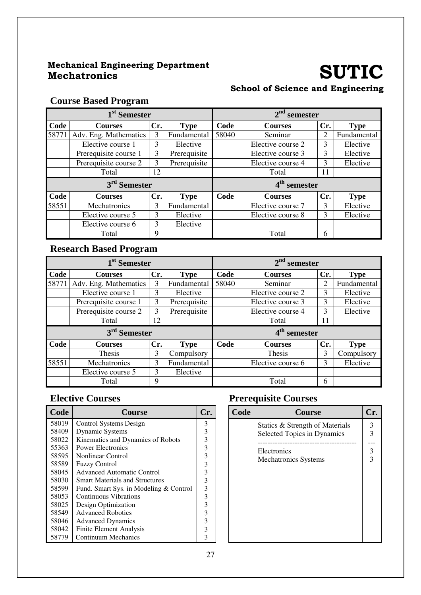## Mechanical Engineering Department Mechatronics SUTIC

# School of Science and Engineering

#### **Course Based Program**

|       | 1 <sup>st</sup> Semester |     |              |       | $2nd$ semester           |     |             |
|-------|--------------------------|-----|--------------|-------|--------------------------|-----|-------------|
| Code  | <b>Courses</b>           | Cr. | <b>Type</b>  | Code  | <b>Courses</b>           | Cr. | <b>Type</b> |
| 58771 | Adv. Eng. Mathematics    | 3   | Fundamental  | 58040 | Seminar                  | 2   | Fundamental |
|       | Elective course 1        | 3   | Elective     |       | Elective course 2        | 3   | Elective    |
|       | Prerequisite course 1    | 3   | Prerequisite |       | Elective course 3        | 3   | Elective    |
|       | Prerequisite course 2    | 3   | Prerequisite |       | Elective course 4        | 3   | Elective    |
|       | Total                    | 12  |              |       | Total                    | 11  |             |
|       | 3 <sup>rd</sup> Semester |     |              |       | 4 <sup>th</sup> semester |     |             |
| Code  | <b>Courses</b>           | Cr. | <b>Type</b>  | Code  | <b>Courses</b>           | Cr. | <b>Type</b> |
| 58551 | Mechatronics             | 3   | Fundamental  |       | Elective course 7        | 3   | Elective    |
|       | Elective course 5        | 3   | Elective     |       | Elective course 8        | 3   | Elective    |
|       | Elective course 6        | 3   | Elective     |       |                          |     |             |
|       | Total                    | 9   |              |       | Total                    | 6   |             |

#### **Research Based Program**

|       | 1 <sup>st</sup> Semester |     |              |                          | $2nd$ semester    |                |             |  |
|-------|--------------------------|-----|--------------|--------------------------|-------------------|----------------|-------------|--|
| Code  | <b>Courses</b>           | Cr. | <b>Type</b>  | Code                     | <b>Courses</b>    | Cr.            | <b>Type</b> |  |
| 58771 | Adv. Eng. Mathematics    | 3   | Fundamental  | 58040                    | Seminar           | $\overline{2}$ | Fundamental |  |
|       | Elective course 1        | 3   | Elective     |                          | Elective course 2 | 3              | Elective    |  |
|       | Prerequisite course 1    | 3   | Prerequisite |                          | Elective course 3 | 3              | Elective    |  |
|       | Prerequisite course 2    | 3   | Prerequisite |                          | Elective course 4 | 3              | Elective    |  |
|       | Total                    | 12  |              |                          | Total             | 11             |             |  |
|       | $3rd$ Semester           |     |              | 4 <sup>th</sup> semester |                   |                |             |  |
| Code  | <b>Courses</b>           | Cr. | <b>Type</b>  | Code                     | <b>Courses</b>    | Cr.            | <b>Type</b> |  |
|       | Thesis                   | 3   | Compulsory   |                          | Thesis            | 3              | Compulsory  |  |
| 58551 | Mechatronics             | 3   | Fundamental  |                          | Elective course 6 | 3              | Elective    |  |
|       | Elective course 5        | 3   | Elective     |                          |                   |                |             |  |
|       | Total                    | 9   |              |                          | Total             | 6              |             |  |

| Code  | <b>Course</b>                          | Cr. | Code | <b>Course</b>                   | Cr. |
|-------|----------------------------------------|-----|------|---------------------------------|-----|
| 58019 | Control Systems Design                 | 3   |      | Statics & Strength of Materials | 3   |
| 58409 | <b>Dynamic Systems</b>                 | 3   |      | Selected Topics in Dynamics     |     |
| 58022 | Kinematics and Dynamics of Robots      |     |      |                                 |     |
| 55363 | <b>Power Electronics</b>               | 3   |      | Electronics                     |     |
| 58595 | Nonlinear Control                      |     |      | <b>Mechatronics Systems</b>     |     |
| 58589 | <b>Fuzzy Control</b>                   |     |      |                                 |     |
| 58045 | <b>Advanced Automatic Control</b>      |     |      |                                 |     |
| 58030 | <b>Smart Materials and Structures</b>  | 3   |      |                                 |     |
| 58599 | Fund. Smart Sys. in Modeling & Control | 3   |      |                                 |     |
| 58053 | Continuous Vibrations                  |     |      |                                 |     |
| 58025 | Design Optimization                    |     |      |                                 |     |
| 58549 | <b>Advanced Robotics</b>               |     |      |                                 |     |
| 58046 | <b>Advanced Dynamics</b>               |     |      |                                 |     |
| 58042 | Finite Element Analysis                | 3   |      |                                 |     |
| 58779 | Continuum Mechanics                    | 3   |      |                                 |     |

#### **Elective Courses Prerequisite Courses**

| Code | <b>Course</b>                                                  |               |
|------|----------------------------------------------------------------|---------------|
|      | Statics & Strength of Materials<br>Selected Topics in Dynamics | 3<br>3        |
|      | Electronics<br><b>Mechatronics Systems</b>                     | $\frac{3}{3}$ |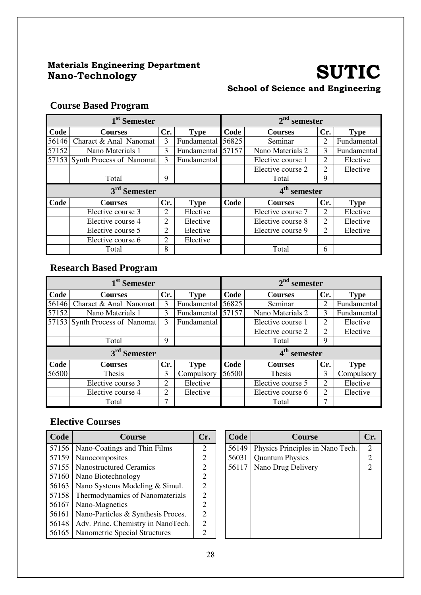## Materials Engineering Department Nano-Technology SUTIC

#### School of Science and Engineering

### **Course Based Program**

|                          | 1 <sup>st</sup> Semester |     |                   |                | $2nd$ semester    |     |             |  |
|--------------------------|--------------------------|-----|-------------------|----------------|-------------------|-----|-------------|--|
| Code                     | <b>Courses</b>           | Cr. | <b>Type</b>       | Code           | <b>Courses</b>    | Cr. | <b>Type</b> |  |
| 56146                    | Charact & Anal Nanomat   | 3   | Fundamental       | 56825          | Seminar           | 2   | Fundamental |  |
| 57152                    | Nano Materials 1         | 3   | Fundamental 57157 |                | Nano Materials 2  | 3   | Fundamental |  |
| 57153                    | Synth Process of Nanomat | 3   | Fundamental       |                | Elective course 1 | 2   | Elective    |  |
|                          |                          |     |                   |                | Elective course 2 | 2   | Elective    |  |
|                          | Total                    | 9   |                   |                | Total             | 9   |             |  |
| 3 <sup>rd</sup> Semester |                          |     |                   | $4th$ semester |                   |     |             |  |
|                          |                          |     |                   |                |                   |     |             |  |
| Code                     | <b>Courses</b>           | Cr. | <b>Type</b>       | Code           | <b>Courses</b>    | Cr. | <b>Type</b> |  |
|                          | Elective course 3        | 2   | Elective          |                | Elective course 7 | 2   | Elective    |  |
|                          | Elective course 4        | 2   | Elective          |                | Elective course 8 | 2   | Elective    |  |
|                          | Elective course 5        | 2   | Elective          |                | Elective course 9 | 2   | Elective    |  |
|                          | Elective course 6        | 2   | Elective          |                |                   |     |             |  |

### **Research Based Program**

|       | 1 <sup>st</sup> Semester       |     |                   |       | $2nd$ semester           |     |             |
|-------|--------------------------------|-----|-------------------|-------|--------------------------|-----|-------------|
| Code  | <b>Courses</b>                 | Cr. | <b>Type</b>       | Code  | <b>Courses</b>           | Cr. | <b>Type</b> |
| 56146 | Charact & Anal Nanomat         | 3   | Fundamental       | 56825 | Seminar                  | 2   | Fundamental |
| 57152 | Nano Materials 1               | 3   | Fundamental 57157 |       | Nano Materials 2         | 3   | Fundamental |
|       | 57153 Synth Process of Nanomat | 3   | Fundamental       |       | Elective course 1        | 2   | Elective    |
|       |                                |     |                   |       | Elective course 2        | 2   | Elective    |
|       | Total                          | 9   |                   |       | Total                    | 9   |             |
|       | 3 <sup>rd</sup> Semester       |     |                   |       | 4 <sup>th</sup> semester |     |             |
| Code  | <b>Courses</b>                 | Cr. | <b>Type</b>       | Code  | <b>Courses</b>           | Cr. | <b>Type</b> |
| 56500 | Thesis                         | 3   | Compulsory        | 56500 | <b>Thesis</b>            | 3   | Compulsory  |
|       | Elective course 3              | 2   | Elective          |       | Elective course 5        | 2   | Elective    |
|       | Elective course 4              | 2   | Elective          |       | Elective course 6        | 2   | Elective    |
|       | Total                          | 7   |                   |       | Total                    | 7   |             |

| Code  | <b>Course</b>                        | Cr.                         | Code  | <b>Course</b>                    | Cr. |
|-------|--------------------------------------|-----------------------------|-------|----------------------------------|-----|
| 57156 | Nano-Coatings and Thin Films         | 2                           | 56149 | Physics Principles in Nano Tech. | 2   |
| 57159 | Nanocomposites                       | 2                           | 56031 | <b>Quantum Physics</b>           |     |
| 57155 | <b>Nanostructured Ceramics</b>       | 2                           | 56117 | Nano Drug Delivery               |     |
| 57160 | Nano Biotechnology                   | 2                           |       |                                  |     |
| 56163 | Nano Systems Modeling & Simul.       | $\mathcal{D}_{\mathcal{A}}$ |       |                                  |     |
| 57158 | Thermodynamics of Nanomaterials      | 2                           |       |                                  |     |
| 56167 | Nano-Magnetics                       | 2                           |       |                                  |     |
| 56161 | Nano-Particles & Synthesis Proces.   | $\mathfrak{D}$              |       |                                  |     |
| 56148 | Adv. Princ. Chemistry in NanoTech.   | $\mathcal{D}_{\mathcal{L}}$ |       |                                  |     |
| 56165 | <b>Nanometric Special Structures</b> | າ                           |       |                                  |     |

| Code  | <b>Course</b>                    | Cr.            |
|-------|----------------------------------|----------------|
| 56149 | Physics Principles in Nano Tech. | 2              |
| 56031 | <b>Quantum Physics</b>           | $\overline{2}$ |
| 56117 | Nano Drug Delivery               | $\overline{2}$ |
|       |                                  |                |
|       |                                  |                |
|       |                                  |                |
|       |                                  |                |
|       |                                  |                |
|       |                                  |                |
|       |                                  |                |